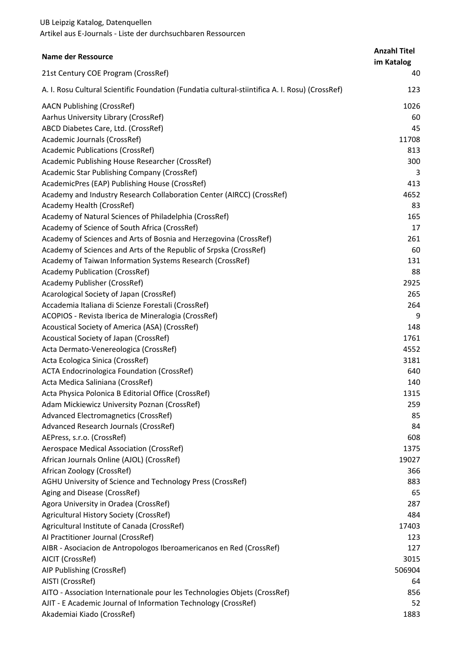| <b>Name der Ressource</b>                                                                       | <b>Anzahl Titel</b><br>im Katalog |
|-------------------------------------------------------------------------------------------------|-----------------------------------|
| 21st Century COE Program (CrossRef)                                                             | 40                                |
| A. I. Rosu Cultural Scientific Foundation (Fundatia cultural-stiintifica A. I. Rosu) (CrossRef) | 123                               |
| <b>AACN Publishing (CrossRef)</b>                                                               | 1026                              |
| Aarhus University Library (CrossRef)                                                            | 60                                |
| ABCD Diabetes Care, Ltd. (CrossRef)                                                             | 45                                |
| Academic Journals (CrossRef)                                                                    | 11708                             |
| <b>Academic Publications (CrossRef)</b>                                                         | 813                               |
| Academic Publishing House Researcher (CrossRef)                                                 | 300                               |
| Academic Star Publishing Company (CrossRef)                                                     | 3                                 |
| AcademicPres (EAP) Publishing House (CrossRef)                                                  | 413                               |
| Academy and Industry Research Collaboration Center (AIRCC) (CrossRef)                           | 4652                              |
| Academy Health (CrossRef)                                                                       | 83                                |
| Academy of Natural Sciences of Philadelphia (CrossRef)                                          | 165                               |
| Academy of Science of South Africa (CrossRef)                                                   | 17                                |
| Academy of Sciences and Arts of Bosnia and Herzegovina (CrossRef)                               | 261                               |
| Academy of Sciences and Arts of the Republic of Srpska (CrossRef)                               | 60                                |
| Academy of Taiwan Information Systems Research (CrossRef)                                       | 131                               |
| <b>Academy Publication (CrossRef)</b>                                                           | 88                                |
| Academy Publisher (CrossRef)                                                                    | 2925                              |
| Acarological Society of Japan (CrossRef)                                                        | 265                               |
| Accademia Italiana di Scienze Forestali (CrossRef)                                              | 264                               |
| ACOPIOS - Revista Iberica de Mineralogia (CrossRef)                                             | 9                                 |
| Acoustical Society of America (ASA) (CrossRef)                                                  | 148                               |
| Acoustical Society of Japan (CrossRef)                                                          | 1761                              |
| Acta Dermato-Venereologica (CrossRef)                                                           | 4552                              |
| Acta Ecologica Sinica (CrossRef)                                                                | 3181                              |
| <b>ACTA Endocrinologica Foundation (CrossRef)</b><br>Acta Medica Saliniana (CrossRef)           | 640<br>140                        |
| Acta Physica Polonica B Editorial Office (CrossRef)                                             | 1315                              |
| Adam Mickiewicz University Poznan (CrossRef)                                                    | 259                               |
| Advanced Electromagnetics (CrossRef)                                                            | 85                                |
| Advanced Research Journals (CrossRef)                                                           | 84                                |
| AEPress, s.r.o. (CrossRef)                                                                      | 608                               |
| Aerospace Medical Association (CrossRef)                                                        | 1375                              |
| African Journals Online (AJOL) (CrossRef)                                                       | 19027                             |
| African Zoology (CrossRef)                                                                      | 366                               |
| AGHU University of Science and Technology Press (CrossRef)                                      | 883                               |
| Aging and Disease (CrossRef)                                                                    | 65                                |
| Agora University in Oradea (CrossRef)                                                           | 287                               |
| Agricultural History Society (CrossRef)                                                         | 484                               |
| Agricultural Institute of Canada (CrossRef)                                                     | 17403                             |
| Al Practitioner Journal (CrossRef)                                                              | 123                               |
| AIBR - Asociacion de Antropologos Iberoamericanos en Red (CrossRef)                             | 127                               |
| AICIT (CrossRef)                                                                                | 3015                              |
| AIP Publishing (CrossRef)                                                                       | 506904                            |
| AISTI (CrossRef)                                                                                | 64                                |
| AITO - Association Internationale pour les Technologies Objets (CrossRef)                       | 856                               |
| AJIT - E Academic Journal of Information Technology (CrossRef)                                  | 52                                |
| Akademiai Kiado (CrossRef)                                                                      | 1883                              |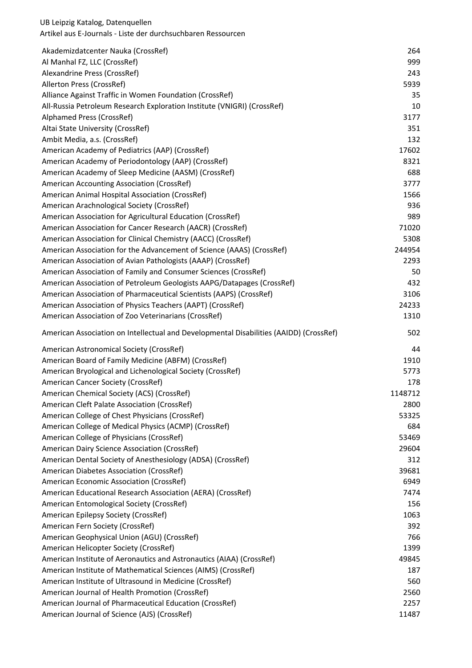| Akademizdatcenter Nauka (CrossRef)                                                     | 264     |
|----------------------------------------------------------------------------------------|---------|
| Al Manhal FZ, LLC (CrossRef)                                                           | 999     |
| Alexandrine Press (CrossRef)                                                           | 243     |
| Allerton Press (CrossRef)                                                              | 5939    |
| Alliance Against Traffic in Women Foundation (CrossRef)                                | 35      |
| All-Russia Petroleum Research Exploration Institute (VNIGRI) (CrossRef)                | 10      |
| Alphamed Press (CrossRef)                                                              | 3177    |
| Altai State University (CrossRef)                                                      | 351     |
| Ambit Media, a.s. (CrossRef)                                                           | 132     |
| American Academy of Pediatrics (AAP) (CrossRef)                                        | 17602   |
| American Academy of Periodontology (AAP) (CrossRef)                                    | 8321    |
| American Academy of Sleep Medicine (AASM) (CrossRef)                                   | 688     |
| American Accounting Association (CrossRef)                                             | 3777    |
| American Animal Hospital Association (CrossRef)                                        | 1566    |
| American Arachnological Society (CrossRef)                                             | 936     |
| American Association for Agricultural Education (CrossRef)                             | 989     |
| American Association for Cancer Research (AACR) (CrossRef)                             | 71020   |
| American Association for Clinical Chemistry (AACC) (CrossRef)                          | 5308    |
| American Association for the Advancement of Science (AAAS) (CrossRef)                  | 244954  |
| American Association of Avian Pathologists (AAAP) (CrossRef)                           | 2293    |
| American Association of Family and Consumer Sciences (CrossRef)                        | 50      |
| American Association of Petroleum Geologists AAPG/Datapages (CrossRef)                 | 432     |
| American Association of Pharmaceutical Scientists (AAPS) (CrossRef)                    | 3106    |
| American Association of Physics Teachers (AAPT) (CrossRef)                             | 24233   |
| American Association of Zoo Veterinarians (CrossRef)                                   | 1310    |
| American Association on Intellectual and Developmental Disabilities (AAIDD) (CrossRef) | 502     |
| American Astronomical Society (CrossRef)                                               | 44      |
| American Board of Family Medicine (ABFM) (CrossRef)                                    | 1910    |
| American Bryological and Lichenological Society (CrossRef)                             | 5773    |
| American Cancer Society (CrossRef)                                                     | 178     |
| American Chemical Society (ACS) (CrossRef)                                             | 1148712 |
| American Cleft Palate Association (CrossRef)                                           | 2800    |
| American College of Chest Physicians (CrossRef)                                        | 53325   |
| American College of Medical Physics (ACMP) (CrossRef)                                  | 684     |
| American College of Physicians (CrossRef)                                              | 53469   |
| American Dairy Science Association (CrossRef)                                          | 29604   |
| American Dental Society of Anesthesiology (ADSA) (CrossRef)                            | 312     |
| American Diabetes Association (CrossRef)                                               | 39681   |
| American Economic Association (CrossRef)                                               | 6949    |
| American Educational Research Association (AERA) (CrossRef)                            | 7474    |
| American Entomological Society (CrossRef)                                              | 156     |
| American Epilepsy Society (CrossRef)                                                   | 1063    |
| American Fern Society (CrossRef)                                                       | 392     |
| American Geophysical Union (AGU) (CrossRef)                                            | 766     |
| American Helicopter Society (CrossRef)                                                 | 1399    |
| American Institute of Aeronautics and Astronautics (AIAA) (CrossRef)                   | 49845   |
| American Institute of Mathematical Sciences (AIMS) (CrossRef)                          | 187     |
| American Institute of Ultrasound in Medicine (CrossRef)                                | 560     |
| American Journal of Health Promotion (CrossRef)                                        | 2560    |
| American Journal of Pharmaceutical Education (CrossRef)                                | 2257    |
| American Journal of Science (AJS) (CrossRef)                                           | 11487   |
|                                                                                        |         |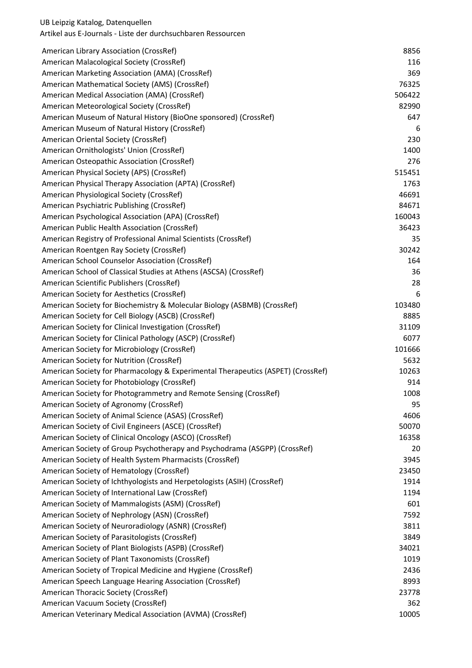| American Library Association (CrossRef)                                          | 8856   |
|----------------------------------------------------------------------------------|--------|
| American Malacological Society (CrossRef)                                        | 116    |
| American Marketing Association (AMA) (CrossRef)                                  | 369    |
| American Mathematical Society (AMS) (CrossRef)                                   | 76325  |
| American Medical Association (AMA) (CrossRef)                                    | 506422 |
| American Meteorological Society (CrossRef)                                       | 82990  |
| American Museum of Natural History (BioOne sponsored) (CrossRef)                 | 647    |
| American Museum of Natural History (CrossRef)                                    | 6      |
| American Oriental Society (CrossRef)                                             | 230    |
| American Ornithologists' Union (CrossRef)                                        | 1400   |
| American Osteopathic Association (CrossRef)                                      | 276    |
| American Physical Society (APS) (CrossRef)                                       | 515451 |
| American Physical Therapy Association (APTA) (CrossRef)                          | 1763   |
| American Physiological Society (CrossRef)                                        | 46691  |
| American Psychiatric Publishing (CrossRef)                                       | 84671  |
| American Psychological Association (APA) (CrossRef)                              | 160043 |
| American Public Health Association (CrossRef)                                    | 36423  |
| American Registry of Professional Animal Scientists (CrossRef)                   | 35     |
| American Roentgen Ray Society (CrossRef)                                         | 30242  |
| American School Counselor Association (CrossRef)                                 | 164    |
| American School of Classical Studies at Athens (ASCSA) (CrossRef)                | 36     |
| American Scientific Publishers (CrossRef)                                        | 28     |
| American Society for Aesthetics (CrossRef)                                       | 6      |
| American Society for Biochemistry & Molecular Biology (ASBMB) (CrossRef)         | 103480 |
| American Society for Cell Biology (ASCB) (CrossRef)                              | 8885   |
| American Society for Clinical Investigation (CrossRef)                           | 31109  |
| American Society for Clinical Pathology (ASCP) (CrossRef)                        | 6077   |
| American Society for Microbiology (CrossRef)                                     | 101666 |
| American Society for Nutrition (CrossRef)                                        | 5632   |
| American Society for Pharmacology & Experimental Therapeutics (ASPET) (CrossRef) | 10263  |
| American Society for Photobiology (CrossRef)                                     | 914    |
| American Society for Photogrammetry and Remote Sensing (CrossRef)                | 1008   |
| American Society of Agronomy (CrossRef)                                          | 95     |
| American Society of Animal Science (ASAS) (CrossRef)                             | 4606   |
| American Society of Civil Engineers (ASCE) (CrossRef)                            | 50070  |
| American Society of Clinical Oncology (ASCO) (CrossRef)                          | 16358  |
| American Society of Group Psychotherapy and Psychodrama (ASGPP) (CrossRef)       | 20     |
| American Society of Health System Pharmacists (CrossRef)                         | 3945   |
| American Society of Hematology (CrossRef)                                        | 23450  |
| American Society of Ichthyologists and Herpetologists (ASIH) (CrossRef)          | 1914   |
| American Society of International Law (CrossRef)                                 | 1194   |
| American Society of Mammalogists (ASM) (CrossRef)                                | 601    |
| American Society of Nephrology (ASN) (CrossRef)                                  | 7592   |
| American Society of Neuroradiology (ASNR) (CrossRef)                             | 3811   |
| American Society of Parasitologists (CrossRef)                                   | 3849   |
| American Society of Plant Biologists (ASPB) (CrossRef)                           | 34021  |
| American Society of Plant Taxonomists (CrossRef)                                 | 1019   |
| American Society of Tropical Medicine and Hygiene (CrossRef)                     | 2436   |
| American Speech Language Hearing Association (CrossRef)                          | 8993   |
| American Thoracic Society (CrossRef)                                             | 23778  |
| American Vacuum Society (CrossRef)                                               | 362    |
| American Veterinary Medical Association (AVMA) (CrossRef)                        | 10005  |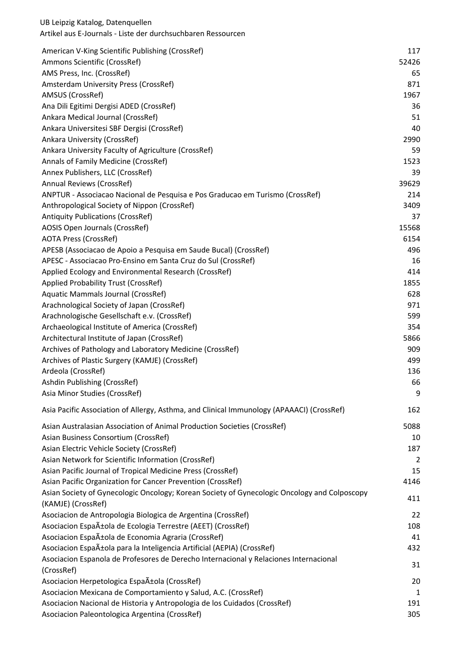| American V-King Scientific Publishing (CrossRef)                                             | 117         |
|----------------------------------------------------------------------------------------------|-------------|
| Ammons Scientific (CrossRef)                                                                 | 52426<br>65 |
| AMS Press, Inc. (CrossRef)<br>Amsterdam University Press (CrossRef)                          | 871         |
| AMSUS (CrossRef)                                                                             | 1967        |
| Ana Dili Egitimi Dergisi ADED (CrossRef)                                                     | 36          |
|                                                                                              |             |
| Ankara Medical Journal (CrossRef)                                                            | 51<br>40    |
| Ankara Universitesi SBF Dergisi (CrossRef)                                                   |             |
| Ankara University (CrossRef)                                                                 | 2990        |
| Ankara University Faculty of Agriculture (CrossRef)                                          | 59          |
| Annals of Family Medicine (CrossRef)                                                         | 1523        |
| Annex Publishers, LLC (CrossRef)                                                             | 39          |
| Annual Reviews (CrossRef)                                                                    | 39629       |
| ANPTUR - Associacao Nacional de Pesquisa e Pos Graducao em Turismo (CrossRef)                | 214         |
| Anthropological Society of Nippon (CrossRef)                                                 | 3409        |
| <b>Antiquity Publications (CrossRef)</b>                                                     | 37          |
| AOSIS Open Journals (CrossRef)                                                               | 15568       |
| <b>AOTA Press (CrossRef)</b>                                                                 | 6154        |
| APESB (Associacao de Apoio a Pesquisa em Saude Bucal) (CrossRef)                             | 496         |
| APESC - Associacao Pro-Ensino em Santa Cruz do Sul (CrossRef)                                | 16          |
| Applied Ecology and Environmental Research (CrossRef)                                        | 414         |
| Applied Probability Trust (CrossRef)                                                         | 1855        |
| Aquatic Mammals Journal (CrossRef)                                                           | 628         |
| Arachnological Society of Japan (CrossRef)                                                   | 971         |
| Arachnologische Gesellschaft e.v. (CrossRef)                                                 | 599         |
| Archaeological Institute of America (CrossRef)                                               | 354         |
| Architectural Institute of Japan (CrossRef)                                                  | 5866        |
| Archives of Pathology and Laboratory Medicine (CrossRef)                                     | 909         |
| Archives of Plastic Surgery (KAMJE) (CrossRef)                                               | 499         |
| Ardeola (CrossRef)                                                                           | 136         |
| Ashdin Publishing (CrossRef)                                                                 | 66          |
| Asia Minor Studies (CrossRef)                                                                | 9           |
| Asia Pacific Association of Allergy, Asthma, and Clinical Immunology (APAAACI) (CrossRef)    | 162         |
| Asian Australasian Association of Animal Production Societies (CrossRef)                     | 5088        |
| Asian Business Consortium (CrossRef)                                                         | 10          |
| Asian Electric Vehicle Society (CrossRef)                                                    | 187         |
| Asian Network for Scientific Information (CrossRef)                                          | 2           |
| Asian Pacific Journal of Tropical Medicine Press (CrossRef)                                  | 15          |
| Asian Pacific Organization for Cancer Prevention (CrossRef)                                  | 4146        |
| Asian Society of Gynecologic Oncology; Korean Society of Gynecologic Oncology and Colposcopy |             |
| (KAMJE) (CrossRef)                                                                           | 411         |
| Asociacion de Antropologia Biologica de Argentina (CrossRef)                                 | 22          |
| Asociacion Española de Ecologia Terrestre (AEET) (CrossRef)                                  | 108         |
| Asociacion Española de Economia Agraria (CrossRef)                                           | 41          |
| Asociacion Española para la Inteligencia Artificial (AEPIA) (CrossRef)                       | 432         |
| Asociacion Espanola de Profesores de Derecho Internacional y Relaciones Internacional        |             |
| (CrossRef)                                                                                   | 31          |
| Asociacion Herpetologica EspaAtola (CrossRef)                                                | 20          |
| Asociacion Mexicana de Comportamiento y Salud, A.C. (CrossRef)                               | 1           |
| Asociacion Nacional de Historia y Antropologia de los Cuidados (CrossRef)                    | 191         |
| Asociacion Paleontologica Argentina (CrossRef)                                               | 305         |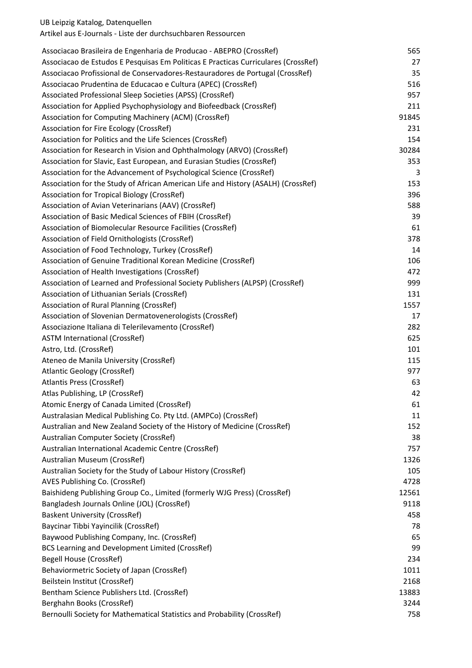Artikel aus E-Journals - Liste der durchsuchbaren Ressourcen

| Associacao Brasileira de Engenharia de Producao - ABEPRO (CrossRef)                | 565   |
|------------------------------------------------------------------------------------|-------|
| Associacao de Estudos E Pesquisas Em Politicas E Practicas Curriculares (CrossRef) | 27    |
| Associacao Profissional de Conservadores-Restauradores de Portugal (CrossRef)      | 35    |
| Associacao Prudentina de Educacao e Cultura (APEC) (CrossRef)                      | 516   |
| Associated Professional Sleep Societies (APSS) (CrossRef)                          | 957   |
| Association for Applied Psychophysiology and Biofeedback (CrossRef)                | 211   |
| Association for Computing Machinery (ACM) (CrossRef)                               | 91845 |
| Association for Fire Ecology (CrossRef)                                            | 231   |
| Association for Politics and the Life Sciences (CrossRef)                          | 154   |
| Association for Research in Vision and Ophthalmology (ARVO) (CrossRef)             | 30284 |
| Association for Slavic, East European, and Eurasian Studies (CrossRef)             | 353   |
| Association for the Advancement of Psychological Science (CrossRef)                | 3     |
| Association for the Study of African American Life and History (ASALH) (CrossRef)  | 153   |
| Association for Tropical Biology (CrossRef)                                        | 396   |
| Association of Avian Veterinarians (AAV) (CrossRef)                                | 588   |
| Association of Basic Medical Sciences of FBIH (CrossRef)                           | 39    |
| Association of Biomolecular Resource Facilities (CrossRef)                         | 61    |
| Association of Field Ornithologists (CrossRef)                                     | 378   |
| Association of Food Technology, Turkey (CrossRef)                                  | 14    |
| Association of Genuine Traditional Korean Medicine (CrossRef)                      | 106   |
| Association of Health Investigations (CrossRef)                                    | 472   |
| Association of Learned and Professional Society Publishers (ALPSP) (CrossRef)      | 999   |
| Association of Lithuanian Serials (CrossRef)                                       | 131   |
| Association of Rural Planning (CrossRef)                                           | 1557  |
| Association of Slovenian Dermatovenerologists (CrossRef)                           | 17    |
| Associazione Italiana di Telerilevamento (CrossRef)                                | 282   |
| <b>ASTM International (CrossRef)</b>                                               | 625   |
| Astro, Ltd. (CrossRef)                                                             | 101   |
| Ateneo de Manila University (CrossRef)                                             | 115   |
| <b>Atlantic Geology (CrossRef)</b>                                                 | 977   |
| Atlantis Press (CrossRef)                                                          | 63    |
| Atlas Publishing, LP (CrossRef)                                                    | 42    |
| Atomic Energy of Canada Limited (CrossRef)                                         | 61    |
| Australasian Medical Publishing Co. Pty Ltd. (AMPCo) (CrossRef)                    | 11    |
| Australian and New Zealand Society of the History of Medicine (CrossRef)           | 152   |
| Australian Computer Society (CrossRef)                                             | 38    |
| Australian International Academic Centre (CrossRef)                                | 757   |
| Australian Museum (CrossRef)                                                       | 1326  |
| Australian Society for the Study of Labour History (CrossRef)                      | 105   |
| AVES Publishing Co. (CrossRef)                                                     | 4728  |
| Baishideng Publishing Group Co., Limited (formerly WJG Press) (CrossRef)           | 12561 |
| Bangladesh Journals Online (JOL) (CrossRef)                                        | 9118  |
| <b>Baskent University (CrossRef)</b>                                               | 458   |
| Baycinar Tibbi Yayincilik (CrossRef)                                               | 78    |
| Baywood Publishing Company, Inc. (CrossRef)                                        | 65    |
| BCS Learning and Development Limited (CrossRef)                                    | 99    |
| Begell House (CrossRef)                                                            | 234   |
| Behaviormetric Society of Japan (CrossRef)                                         | 1011  |
| Beilstein Institut (CrossRef)                                                      | 2168  |
| Bentham Science Publishers Ltd. (CrossRef)                                         | 13883 |
| Berghahn Books (CrossRef)                                                          | 3244  |
| Bernoulli Society for Mathematical Statistics and Probability (CrossRef)           | 758   |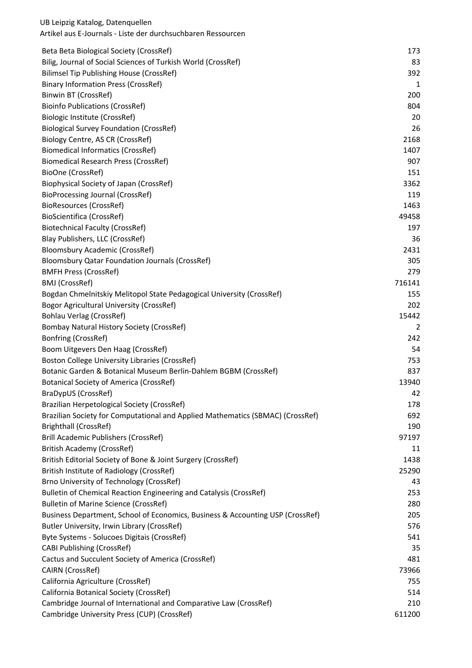| Beta Beta Biological Society (CrossRef)                                        | 173            |
|--------------------------------------------------------------------------------|----------------|
| Bilig, Journal of Social Sciences of Turkish World (CrossRef)                  | 83             |
| <b>Bilimsel Tip Publishing House (CrossRef)</b>                                | 392            |
| <b>Binary Information Press (CrossRef)</b>                                     | 1              |
| Binwin BT (CrossRef)                                                           | 200            |
| <b>Bioinfo Publications (CrossRef)</b>                                         | 804            |
| Biologic Institute (CrossRef)                                                  | 20             |
| <b>Biological Survey Foundation (CrossRef)</b>                                 | 26             |
| Biology Centre, AS CR (CrossRef)                                               | 2168           |
| <b>Biomedical Informatics (CrossRef)</b>                                       | 1407           |
| <b>Biomedical Research Press (CrossRef)</b>                                    | 907            |
| BioOne (CrossRef)                                                              | 151            |
| Biophysical Society of Japan (CrossRef)                                        | 3362           |
| BioProcessing Journal (CrossRef)                                               | 119            |
| BioResources (CrossRef)                                                        | 1463           |
| <b>BioScientifica (CrossRef)</b>                                               | 49458          |
| <b>Biotechnical Faculty (CrossRef)</b>                                         | 197            |
| Blay Publishers, LLC (CrossRef)                                                | 36             |
| <b>Bloomsbury Academic (CrossRef)</b>                                          | 2431           |
| <b>Bloomsbury Qatar Foundation Journals (CrossRef)</b>                         | 305            |
| <b>BMFH Press (CrossRef)</b>                                                   | 279            |
| BMJ (CrossRef)                                                                 | 716141         |
| Bogdan Chmelnitskiy Melitopol State Pedagogical University (CrossRef)          | 155            |
| Bogor Agricultural University (CrossRef)                                       | 202            |
| <b>Bohlau Verlag (CrossRef)</b>                                                | 15442          |
| Bombay Natural History Society (CrossRef)                                      | $\overline{2}$ |
| Bonfring (CrossRef)                                                            | 242            |
| Boom Uitgevers Den Haag (CrossRef)                                             | 54             |
| Boston College University Libraries (CrossRef)                                 | 753            |
| Botanic Garden & Botanical Museum Berlin-Dahlem BGBM (CrossRef)                | 837            |
| <b>Botanical Society of America (CrossRef)</b>                                 | 13940          |
| BraDypUS (CrossRef)                                                            | 42             |
| Brazilian Herpetological Society (CrossRef)                                    | 178            |
| Brazilian Society for Computational and Applied Mathematics (SBMAC) (CrossRef) | 692            |
| Brighthall (CrossRef)                                                          | 190            |
| <b>Brill Academic Publishers (CrossRef)</b>                                    | 97197          |
| <b>British Academy (CrossRef)</b>                                              | 11             |
| British Editorial Society of Bone & Joint Surgery (CrossRef)                   | 1438           |
| British Institute of Radiology (CrossRef)                                      | 25290          |
| Brno University of Technology (CrossRef)                                       | 43             |
| Bulletin of Chemical Reaction Engineering and Catalysis (CrossRef)             | 253            |
| <b>Bulletin of Marine Science (CrossRef)</b>                                   | 280            |
| Business Department, School of Economics, Business & Accounting USP (CrossRef) | 205            |
| Butler University, Irwin Library (CrossRef)                                    | 576            |
| Byte Systems - Solucoes Digitais (CrossRef)                                    | 541            |
| <b>CABI Publishing (CrossRef)</b>                                              | 35             |
| Cactus and Succulent Society of America (CrossRef)                             | 481            |
| CAIRN (CrossRef)                                                               | 73966          |
| California Agriculture (CrossRef)                                              | 755            |
| California Botanical Society (CrossRef)                                        | 514            |
| Cambridge Journal of International and Comparative Law (CrossRef)              | 210            |
| Cambridge University Press (CUP) (CrossRef)                                    | 611200         |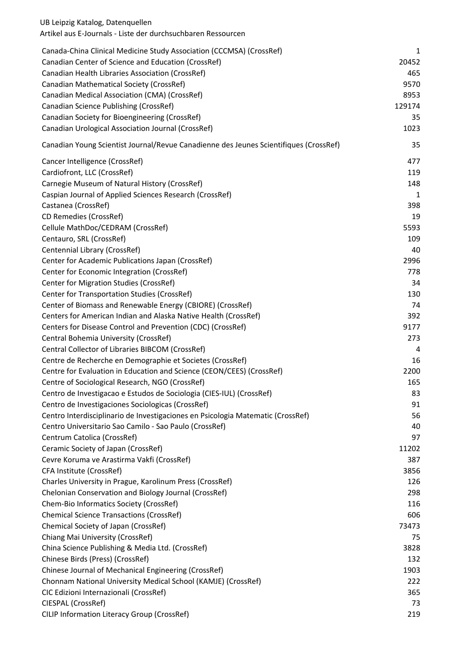| UB Leipzig Katalog, Datenquellen<br>Artikel aus E-Journals - Liste der durchsuchbaren Ressourcen |        |
|--------------------------------------------------------------------------------------------------|--------|
| Canada-China Clinical Medicine Study Association (CCCMSA) (CrossRef)                             | 1      |
| Canadian Center of Science and Education (CrossRef)                                              | 20452  |
| Canadian Health Libraries Association (CrossRef)                                                 | 465    |
| Canadian Mathematical Society (CrossRef)                                                         | 9570   |
| Canadian Medical Association (CMA) (CrossRef)                                                    | 8953   |
| Canadian Science Publishing (CrossRef)                                                           | 129174 |
| Canadian Society for Bioengineering (CrossRef)                                                   | 35     |
| Canadian Urological Association Journal (CrossRef)                                               | 1023   |
| Canadian Young Scientist Journal/Revue Canadienne des Jeunes Scientifiques (CrossRef)            | 35     |
| Cancer Intelligence (CrossRef)                                                                   | 477    |
| Cardiofront, LLC (CrossRef)                                                                      | 119    |
| Carnegie Museum of Natural History (CrossRef)                                                    | 148    |
| Caspian Journal of Applied Sciences Research (CrossRef)                                          | 1      |
| Castanea (CrossRef)                                                                              | 398    |
| CD Remedies (CrossRef)                                                                           | 19     |
| Cellule MathDoc/CEDRAM (CrossRef)                                                                | 5593   |
| Centauro, SRL (CrossRef)                                                                         | 109    |
| Centennial Library (CrossRef)                                                                    | 40     |
| Center for Academic Publications Japan (CrossRef)                                                | 2996   |
| Center for Economic Integration (CrossRef)                                                       | 778    |
| Center for Migration Studies (CrossRef)                                                          | 34     |
| Center for Transportation Studies (CrossRef)                                                     | 130    |
| Center of Biomass and Renewable Energy (CBIORE) (CrossRef)                                       | 74     |
| Centers for American Indian and Alaska Native Health (CrossRef)                                  | 392    |
| Centers for Disease Control and Prevention (CDC) (CrossRef)                                      | 9177   |
| Central Bohemia University (CrossRef)                                                            | 273    |
| Central Collector of Libraries BIBCOM (CrossRef)                                                 | 4      |
| Centre de Recherche en Demographie et Societes (CrossRef)                                        | 16     |
| Centre for Evaluation in Education and Science (CEON/CEES) (CrossRef)                            | 2200   |
| Centre of Sociological Research, NGO (CrossRef)                                                  | 165    |
| Centro de Investigacao e Estudos de Sociologia (CIES-IUL) (CrossRef)                             | 83     |
| Centro de Investigaciones Sociologicas (CrossRef)                                                | 91     |
| Centro Interdisciplinario de Investigaciones en Psicologia Matematic (CrossRef)                  | 56     |
| Centro Universitario Sao Camilo - Sao Paulo (CrossRef)                                           | 40     |
| Centrum Catolica (CrossRef)                                                                      | 97     |
| Ceramic Society of Japan (CrossRef)                                                              | 11202  |
| Cevre Koruma ve Arastirma Vakfi (CrossRef)                                                       | 387    |
| CFA Institute (CrossRef)                                                                         | 3856   |
| Charles University in Prague, Karolinum Press (CrossRef)                                         | 126    |
| Chelonian Conservation and Biology Journal (CrossRef)                                            | 298    |
| Chem-Bio Informatics Society (CrossRef)                                                          | 116    |
| <b>Chemical Science Transactions (CrossRef)</b>                                                  | 606    |
| Chemical Society of Japan (CrossRef)                                                             | 73473  |
| Chiang Mai University (CrossRef)                                                                 | 75     |
| China Science Publishing & Media Ltd. (CrossRef)                                                 | 3828   |
| Chinese Birds (Press) (CrossRef)                                                                 | 132    |
| Chinese Journal of Mechanical Engineering (CrossRef)                                             | 1903   |
| Chonnam National University Medical School (KAMJE) (CrossRef)                                    | 222    |
| CIC Edizioni Internazionali (CrossRef)                                                           | 365    |
| CIESPAL (CrossRef)                                                                               | 73     |
| CILIP Information Literacy Group (CrossRef)                                                      | 219    |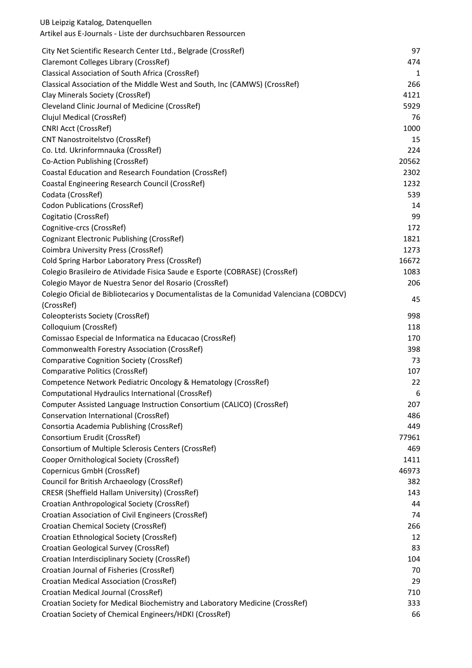| UB Leipzig Katalog, Datenquellen<br>Artikel aus E-Journals - Liste der durchsuchbaren Ressourcen |       |
|--------------------------------------------------------------------------------------------------|-------|
| City Net Scientific Research Center Ltd., Belgrade (CrossRef)                                    | 97    |
| Claremont Colleges Library (CrossRef)                                                            | 474   |
| Classical Association of South Africa (CrossRef)                                                 | 1     |
| Classical Association of the Middle West and South, Inc (CAMWS) (CrossRef)                       | 266   |
| Clay Minerals Society (CrossRef)                                                                 | 4121  |
| Cleveland Clinic Journal of Medicine (CrossRef)                                                  | 5929  |
| Clujul Medical (CrossRef)                                                                        | 76    |
| <b>CNRI Acct (CrossRef)</b>                                                                      | 1000  |
| <b>CNT Nanostroitelstvo (CrossRef)</b>                                                           | 15    |
| Co. Ltd. Ukrinformnauka (CrossRef)                                                               | 224   |
| Co-Action Publishing (CrossRef)                                                                  | 20562 |
| Coastal Education and Research Foundation (CrossRef)                                             | 2302  |
| Coastal Engineering Research Council (CrossRef)                                                  | 1232  |
| Codata (CrossRef)                                                                                | 539   |
| <b>Codon Publications (CrossRef)</b>                                                             | 14    |
| Cogitatio (CrossRef)                                                                             | 99    |
| Cognitive-crcs (CrossRef)                                                                        | 172   |
| Cognizant Electronic Publishing (CrossRef)                                                       | 1821  |
| Coimbra University Press (CrossRef)                                                              | 1273  |
| Cold Spring Harbor Laboratory Press (CrossRef)                                                   | 16672 |
| Colegio Brasileiro de Atividade Fisica Saude e Esporte (COBRASE) (CrossRef)                      | 1083  |
| Colegio Mayor de Nuestra Senor del Rosario (CrossRef)                                            | 206   |
| Colegio Oficial de Bibliotecarios y Documentalistas de la Comunidad Valenciana (COBDCV)          |       |
| (CrossRef)                                                                                       | 45    |
| <b>Coleopterists Society (CrossRef)</b>                                                          | 998   |
| Colloquium (CrossRef)                                                                            | 118   |
| Comissao Especial de Informatica na Educacao (CrossRef)                                          | 170   |
| Commonwealth Forestry Association (CrossRef)                                                     | 398   |
| <b>Comparative Cognition Society (CrossRef)</b>                                                  | 73    |
| <b>Comparative Politics (CrossRef)</b>                                                           | 107   |
| Competence Network Pediatric Oncology & Hematology (CrossRef)                                    | 22    |
| Computational Hydraulics International (CrossRef)                                                | 6     |
| Computer Assisted Language Instruction Consortium (CALICO) (CrossRef)                            | 207   |
| Conservation International (CrossRef)                                                            | 486   |
| Consortia Academia Publishing (CrossRef)                                                         | 449   |
| Consortium Erudit (CrossRef)                                                                     | 77961 |
| Consortium of Multiple Sclerosis Centers (CrossRef)                                              | 469   |
| Cooper Ornithological Society (CrossRef)                                                         | 1411  |
| Copernicus GmbH (CrossRef)                                                                       | 46973 |
| Council for British Archaeology (CrossRef)                                                       | 382   |
| CRESR (Sheffield Hallam University) (CrossRef)                                                   | 143   |
| Croatian Anthropological Society (CrossRef)                                                      | 44    |
| Croatian Association of Civil Engineers (CrossRef)                                               | 74    |
| Croatian Chemical Society (CrossRef)                                                             | 266   |
| Croatian Ethnological Society (CrossRef)                                                         | 12    |
| Croatian Geological Survey (CrossRef)                                                            | 83    |
| Croatian Interdisciplinary Society (CrossRef)                                                    | 104   |
| Croatian Journal of Fisheries (CrossRef)                                                         | 70    |
| Croatian Medical Association (CrossRef)                                                          | 29    |
| Croatian Medical Journal (CrossRef)                                                              | 710   |
| Croatian Society for Medical Biochemistry and Laboratory Medicine (CrossRef)                     | 333   |
| Croatian Society of Chemical Engineers/HDKI (CrossRef)                                           | 66    |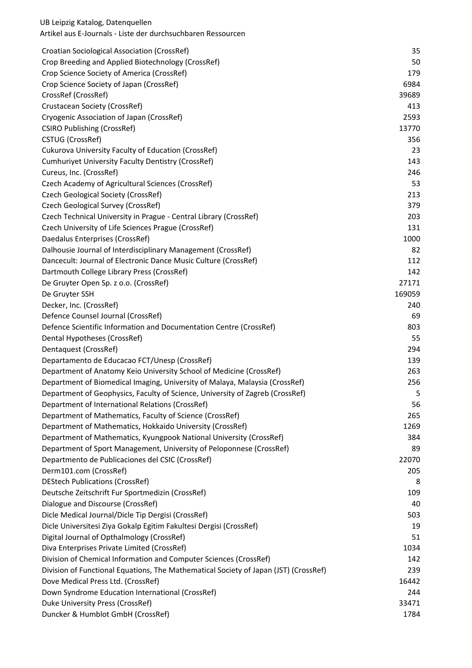| Croatian Sociological Association (CrossRef)                                         | 35     |
|--------------------------------------------------------------------------------------|--------|
| Crop Breeding and Applied Biotechnology (CrossRef)                                   | 50     |
| Crop Science Society of America (CrossRef)                                           | 179    |
| Crop Science Society of Japan (CrossRef)                                             | 6984   |
| CrossRef (CrossRef)                                                                  | 39689  |
| Crustacean Society (CrossRef)                                                        | 413    |
| Cryogenic Association of Japan (CrossRef)                                            | 2593   |
| <b>CSIRO Publishing (CrossRef)</b>                                                   | 13770  |
| CSTUG (CrossRef)                                                                     | 356    |
| Cukurova University Faculty of Education (CrossRef)                                  | 23     |
| <b>Cumhuriyet University Faculty Dentistry (CrossRef)</b>                            | 143    |
| Cureus, Inc. (CrossRef)                                                              | 246    |
| Czech Academy of Agricultural Sciences (CrossRef)                                    | 53     |
| Czech Geological Society (CrossRef)                                                  | 213    |
| Czech Geological Survey (CrossRef)                                                   | 379    |
| Czech Technical University in Prague - Central Library (CrossRef)                    | 203    |
| Czech University of Life Sciences Prague (CrossRef)                                  | 131    |
| Daedalus Enterprises (CrossRef)                                                      | 1000   |
| Dalhousie Journal of Interdisciplinary Management (CrossRef)                         | 82     |
| Dancecult: Journal of Electronic Dance Music Culture (CrossRef)                      | 112    |
| Dartmouth College Library Press (CrossRef)                                           | 142    |
| De Gruyter Open Sp. z o.o. (CrossRef)                                                | 27171  |
| De Gruyter SSH                                                                       | 169059 |
| Decker, Inc. (CrossRef)                                                              | 240    |
| Defence Counsel Journal (CrossRef)                                                   | 69     |
| Defence Scientific Information and Documentation Centre (CrossRef)                   | 803    |
| Dental Hypotheses (CrossRef)                                                         | 55     |
| Dentaquest (CrossRef)                                                                | 294    |
| Departamento de Educacao FCT/Unesp (CrossRef)                                        | 139    |
| Department of Anatomy Keio University School of Medicine (CrossRef)                  | 263    |
| Department of Biomedical Imaging, University of Malaya, Malaysia (CrossRef)          | 256    |
| Department of Geophysics, Faculty of Science, University of Zagreb (CrossRef)        | 5      |
| Department of International Relations (CrossRef)                                     | 56     |
| Department of Mathematics, Faculty of Science (CrossRef)                             | 265    |
| Department of Mathematics, Hokkaido University (CrossRef)                            | 1269   |
| Department of Mathematics, Kyungpook National University (CrossRef)                  | 384    |
| Department of Sport Management, University of Peloponnese (CrossRef)                 | 89     |
| Departmento de Publicaciones del CSIC (CrossRef)                                     | 22070  |
| Derm101.com (CrossRef)                                                               | 205    |
| <b>DEStech Publications (CrossRef)</b>                                               | 8      |
| Deutsche Zeitschrift Fur Sportmedizin (CrossRef)                                     | 109    |
| Dialogue and Discourse (CrossRef)                                                    | 40     |
| Dicle Medical Journal/Dicle Tip Dergisi (CrossRef)                                   | 503    |
| Dicle Universitesi Ziya Gokalp Egitim Fakultesi Dergisi (CrossRef)                   | 19     |
| Digital Journal of Opthalmology (CrossRef)                                           | 51     |
| Diva Enterprises Private Limited (CrossRef)                                          | 1034   |
| Division of Chemical Information and Computer Sciences (CrossRef)                    | 142    |
| Division of Functional Equations, The Mathematical Society of Japan (JST) (CrossRef) | 239    |
| Dove Medical Press Ltd. (CrossRef)                                                   | 16442  |
| Down Syndrome Education International (CrossRef)                                     | 244    |
| Duke University Press (CrossRef)                                                     | 33471  |
| Duncker & Humblot GmbH (CrossRef)                                                    | 1784   |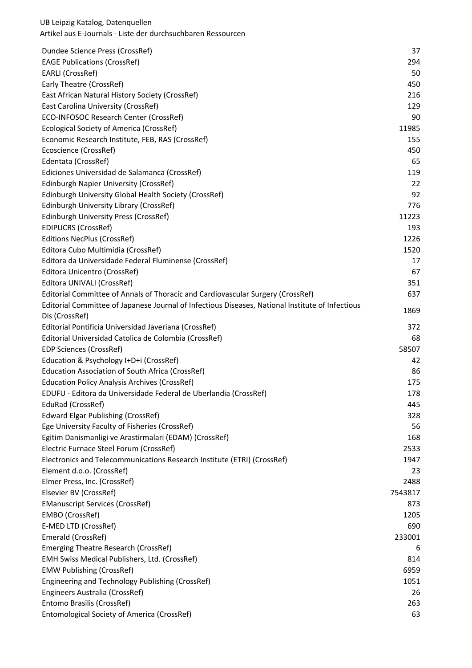| Dundee Science Press (CrossRef)                                                                  | 37      |
|--------------------------------------------------------------------------------------------------|---------|
| <b>EAGE Publications (CrossRef)</b>                                                              | 294     |
| <b>EARLI</b> (CrossRef)                                                                          | 50      |
| Early Theatre (CrossRef)                                                                         | 450     |
| East African Natural History Society (CrossRef)                                                  | 216     |
| East Carolina University (CrossRef)                                                              | 129     |
| ECO-INFOSOC Research Center (CrossRef)                                                           | 90      |
| Ecological Society of America (CrossRef)                                                         | 11985   |
| Economic Research Institute, FEB, RAS (CrossRef)                                                 | 155     |
| Ecoscience (CrossRef)                                                                            | 450     |
| Edentata (CrossRef)                                                                              | 65      |
| Ediciones Universidad de Salamanca (CrossRef)                                                    | 119     |
| Edinburgh Napier University (CrossRef)                                                           | 22      |
| Edinburgh University Global Health Society (CrossRef)                                            | 92      |
| Edinburgh University Library (CrossRef)                                                          | 776     |
| Edinburgh University Press (CrossRef)                                                            | 11223   |
| <b>EDIPUCRS (CrossRef)</b>                                                                       | 193     |
| <b>Editions NecPlus (CrossRef)</b>                                                               | 1226    |
| Editora Cubo Multimidia (CrossRef)                                                               | 1520    |
| Editora da Universidade Federal Fluminense (CrossRef)                                            | 17      |
| Editora Unicentro (CrossRef)                                                                     | 67      |
| Editora UNIVALI (CrossRef)                                                                       | 351     |
| Editorial Committee of Annals of Thoracic and Cardiovascular Surgery (CrossRef)                  | 637     |
| Editorial Committee of Japanese Journal of Infectious Diseases, National Institute of Infectious | 1869    |
| Dis (CrossRef)                                                                                   |         |
| Editorial Pontificia Universidad Javeriana (CrossRef)                                            | 372     |
| Editorial Universidad Catolica de Colombia (CrossRef)                                            | 68      |
| <b>EDP Sciences (CrossRef)</b>                                                                   | 58507   |
| Education & Psychology I+D+i (CrossRef)                                                          | 42      |
| Education Association of South Africa (CrossRef)                                                 | 86      |
| <b>Education Policy Analysis Archives (CrossRef)</b>                                             | 175     |
| EDUFU - Editora da Universidade Federal de Uberlandia (CrossRef)                                 | 178     |
| EduRad (CrossRef)                                                                                | 445     |
| <b>Edward Elgar Publishing (CrossRef)</b>                                                        | 328     |
| Ege University Faculty of Fisheries (CrossRef)                                                   | 56      |
| Egitim Danismanligi ve Arastirmalari (EDAM) (CrossRef)                                           | 168     |
| Electric Furnace Steel Forum (CrossRef)                                                          | 2533    |
| Electronics and Telecommunications Research Institute (ETRI) (CrossRef)                          | 1947    |
| Element d.o.o. (CrossRef)                                                                        | 23      |
| Elmer Press, Inc. (CrossRef)                                                                     | 2488    |
| Elsevier BV (CrossRef)                                                                           | 7543817 |
| <b>EManuscript Services (CrossRef)</b>                                                           | 873     |
| EMBO (CrossRef)                                                                                  | 1205    |
| E-MED LTD (CrossRef)                                                                             | 690     |
| Emerald (CrossRef)                                                                               | 233001  |
| Emerging Theatre Research (CrossRef)                                                             | 6       |
| EMH Swiss Medical Publishers, Ltd. (CrossRef)                                                    | 814     |
| <b>EMW Publishing (CrossRef)</b>                                                                 | 6959    |
| Engineering and Technology Publishing (CrossRef)                                                 | 1051    |
| Engineers Australia (CrossRef)                                                                   | 26      |
| Entomo Brasilis (CrossRef)                                                                       | 263     |
| Entomological Society of America (CrossRef)                                                      | 63      |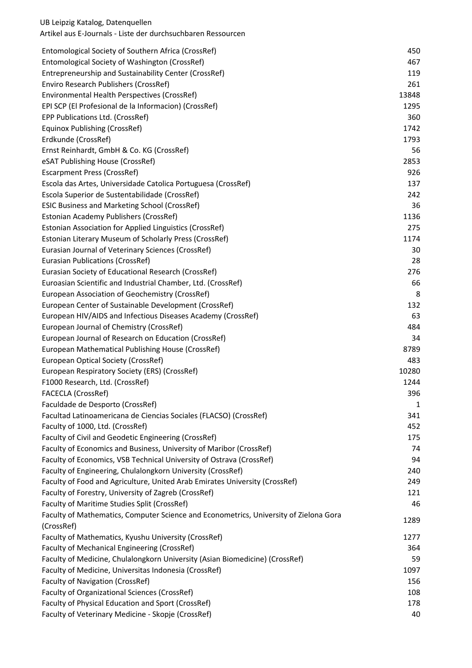| Entomological Society of Southern Africa (CrossRef)                                   | 450          |
|---------------------------------------------------------------------------------------|--------------|
| Entomological Society of Washington (CrossRef)                                        | 467          |
| Entrepreneurship and Sustainability Center (CrossRef)                                 | 119          |
| Enviro Research Publishers (CrossRef)                                                 | 261          |
| Environmental Health Perspectives (CrossRef)                                          | 13848        |
| EPI SCP (El Profesional de la Informacion) (CrossRef)                                 | 1295         |
| EPP Publications Ltd. (CrossRef)                                                      | 360          |
| <b>Equinox Publishing (CrossRef)</b>                                                  | 1742         |
| Erdkunde (CrossRef)                                                                   | 1793         |
| Ernst Reinhardt, GmbH & Co. KG (CrossRef)                                             | 56           |
| eSAT Publishing House (CrossRef)                                                      | 2853         |
| <b>Escarpment Press (CrossRef)</b>                                                    | 926          |
| Escola das Artes, Universidade Catolica Portuguesa (CrossRef)                         | 137          |
| Escola Superior de Sustentabilidade (CrossRef)                                        | 242          |
| <b>ESIC Business and Marketing School (CrossRef)</b>                                  | 36           |
| Estonian Academy Publishers (CrossRef)                                                | 1136         |
| <b>Estonian Association for Applied Linguistics (CrossRef)</b>                        | 275          |
| Estonian Literary Museum of Scholarly Press (CrossRef)                                | 1174         |
| Eurasian Journal of Veterinary Sciences (CrossRef)                                    | 30           |
| <b>Eurasian Publications (CrossRef)</b>                                               | 28           |
| Eurasian Society of Educational Research (CrossRef)                                   | 276          |
| Euroasian Scientific and Industrial Chamber, Ltd. (CrossRef)                          | 66           |
| European Association of Geochemistry (CrossRef)                                       | 8            |
| European Center of Sustainable Development (CrossRef)                                 | 132          |
| European HIV/AIDS and Infectious Diseases Academy (CrossRef)                          | 63           |
| European Journal of Chemistry (CrossRef)                                              | 484          |
| European Journal of Research on Education (CrossRef)                                  | 34           |
| European Mathematical Publishing House (CrossRef)                                     | 8789         |
| European Optical Society (CrossRef)                                                   | 483          |
| European Respiratory Society (ERS) (CrossRef)                                         | 10280        |
| F1000 Research, Ltd. (CrossRef)                                                       | 1244         |
| FACECLA (CrossRef)                                                                    | 396          |
| Faculdade de Desporto (CrossRef)                                                      | $\mathbf{1}$ |
| Facultad Latinoamericana de Ciencias Sociales (FLACSO) (CrossRef)                     | 341          |
| Faculty of 1000, Ltd. (CrossRef)                                                      | 452          |
| Faculty of Civil and Geodetic Engineering (CrossRef)                                  | 175          |
| Faculty of Economics and Business, University of Maribor (CrossRef)                   | 74           |
| Faculty of Economics, VSB Technical University of Ostrava (CrossRef)                  | 94           |
| Faculty of Engineering, Chulalongkorn University (CrossRef)                           | 240          |
| Faculty of Food and Agriculture, United Arab Emirates University (CrossRef)           | 249          |
| Faculty of Forestry, University of Zagreb (CrossRef)                                  | 121          |
| Faculty of Maritime Studies Split (CrossRef)                                          | 46           |
| Faculty of Mathematics, Computer Science and Econometrics, University of Zielona Gora |              |
| (CrossRef)                                                                            | 1289         |
| Faculty of Mathematics, Kyushu University (CrossRef)                                  | 1277         |
| Faculty of Mechanical Engineering (CrossRef)                                          | 364          |
| Faculty of Medicine, Chulalongkorn University (Asian Biomedicine) (CrossRef)          | 59           |
| Faculty of Medicine, Universitas Indonesia (CrossRef)                                 | 1097         |
| <b>Faculty of Navigation (CrossRef)</b>                                               | 156          |
| Faculty of Organizational Sciences (CrossRef)                                         | 108          |
| Faculty of Physical Education and Sport (CrossRef)                                    | 178          |
| Faculty of Veterinary Medicine - Skopje (CrossRef)                                    | 40           |
|                                                                                       |              |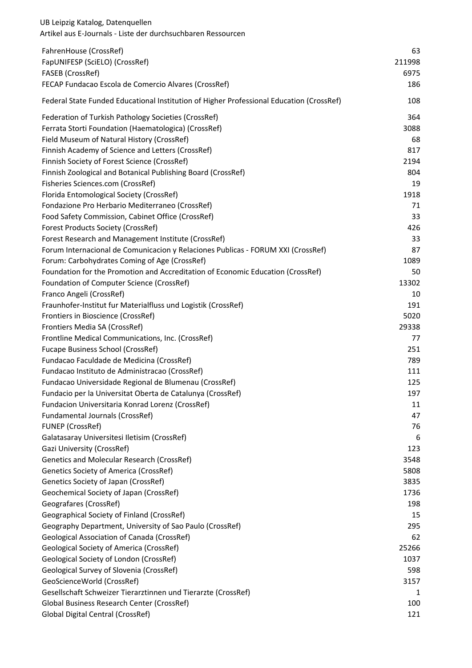| UB Leipzig Katalog, Datenquellen<br>Artikel aus E-Journals - Liste der durchsuchbaren Ressourcen |           |
|--------------------------------------------------------------------------------------------------|-----------|
| FahrenHouse (CrossRef)                                                                           | 63        |
| FapUNIFESP (SciELO) (CrossRef)                                                                   | 211998    |
| FASEB (CrossRef)                                                                                 | 6975      |
| FECAP Fundacao Escola de Comercio Alvares (CrossRef)                                             | 186       |
| Federal State Funded Educational Institution of Higher Professional Education (CrossRef)         | 108       |
| Federation of Turkish Pathology Societies (CrossRef)                                             | 364       |
| Ferrata Storti Foundation (Haematologica) (CrossRef)                                             | 3088      |
| Field Museum of Natural History (CrossRef)                                                       | 68        |
| Finnish Academy of Science and Letters (CrossRef)                                                | 817       |
| Finnish Society of Forest Science (CrossRef)                                                     | 2194      |
| Finnish Zoological and Botanical Publishing Board (CrossRef)                                     | 804       |
| Fisheries Sciences.com (CrossRef)                                                                | 19        |
| Florida Entomological Society (CrossRef)                                                         | 1918      |
| Fondazione Pro Herbario Mediterraneo (CrossRef)                                                  | 71        |
| Food Safety Commission, Cabinet Office (CrossRef)                                                | 33        |
| <b>Forest Products Society (CrossRef)</b>                                                        | 426       |
| Forest Research and Management Institute (CrossRef)                                              | 33        |
| Forum Internacional de Comunicacion y Relaciones Publicas - FORUM XXI (CrossRef)                 | 87        |
| Forum: Carbohydrates Coming of Age (CrossRef)                                                    | 1089      |
| Foundation for the Promotion and Accreditation of Economic Education (CrossRef)                  | 50        |
| Foundation of Computer Science (CrossRef)                                                        | 13302     |
| Franco Angeli (CrossRef)                                                                         | 10        |
| Fraunhofer-Institut fur Materialfluss und Logistik (CrossRef)                                    | 191       |
| Frontiers in Bioscience (CrossRef)                                                               | 5020      |
| Frontiers Media SA (CrossRef)                                                                    | 29338     |
| Frontline Medical Communications, Inc. (CrossRef)                                                | 77        |
| Fucape Business School (CrossRef)                                                                | 251       |
| Fundacao Faculdade de Medicina (CrossRef)                                                        | 789       |
| Fundacao Instituto de Administracao (CrossRef)                                                   | 111       |
| Fundacao Universidade Regional de Blumenau (CrossRef)                                            | 125       |
| Fundacio per la Universitat Oberta de Catalunya (CrossRef)                                       | 197       |
| Fundacion Universitaria Konrad Lorenz (CrossRef)                                                 | 11        |
| Fundamental Journals (CrossRef)                                                                  | 47        |
| <b>FUNEP (CrossRef)</b>                                                                          | 76        |
| Galatasaray Universitesi Iletisim (CrossRef)                                                     | 6         |
| Gazi University (CrossRef)                                                                       | 123       |
| Genetics and Molecular Research (CrossRef)                                                       | 3548      |
| <b>Genetics Society of America (CrossRef)</b>                                                    | 5808      |
| Genetics Society of Japan (CrossRef)                                                             | 3835      |
| Geochemical Society of Japan (CrossRef)                                                          | 1736      |
| Geografares (CrossRef)<br>Geographical Society of Finland (CrossRef)                             | 198<br>15 |
| Geography Department, University of Sao Paulo (CrossRef)                                         | 295       |
| <b>Geological Association of Canada (CrossRef)</b>                                               | 62        |
| <b>Geological Society of America (CrossRef)</b>                                                  | 25266     |
| Geological Society of London (CrossRef)                                                          | 1037      |
| Geological Survey of Slovenia (CrossRef)                                                         | 598       |
| GeoScienceWorld (CrossRef)                                                                       | 3157      |
| Gesellschaft Schweizer Tierarztinnen und Tierarzte (CrossRef)                                    | 1         |
| Global Business Research Center (CrossRef)                                                       | 100       |
| Global Digital Central (CrossRef)                                                                | 121       |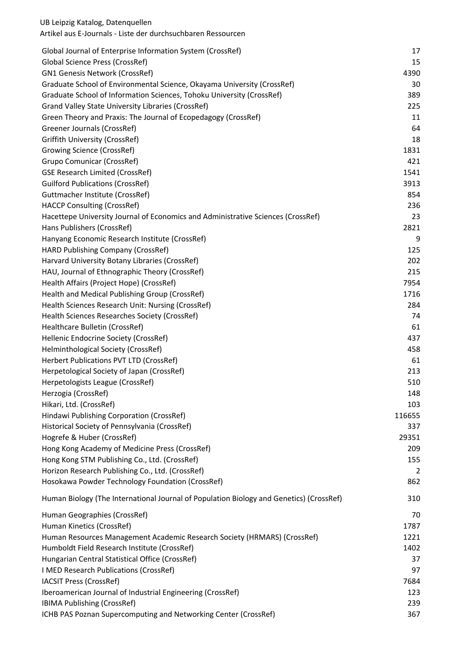| Global Journal of Enterprise Information System (CrossRef)                              | 17     |
|-----------------------------------------------------------------------------------------|--------|
| <b>Global Science Press (CrossRef)</b>                                                  | 15     |
| <b>GN1 Genesis Network (CrossRef)</b>                                                   | 4390   |
| Graduate School of Environmental Science, Okayama University (CrossRef)                 | 30     |
| Graduate School of Information Sciences, Tohoku University (CrossRef)                   | 389    |
| Grand Valley State University Libraries (CrossRef)                                      | 225    |
| Green Theory and Praxis: The Journal of Ecopedagogy (CrossRef)                          | 11     |
| Greener Journals (CrossRef)                                                             | 64     |
| <b>Griffith University (CrossRef)</b>                                                   | 18     |
| <b>Growing Science (CrossRef)</b>                                                       | 1831   |
| <b>Grupo Comunicar (CrossRef)</b>                                                       | 421    |
| <b>GSE Research Limited (CrossRef)</b>                                                  | 1541   |
| <b>Guilford Publications (CrossRef)</b>                                                 | 3913   |
| Guttmacher Institute (CrossRef)                                                         | 854    |
| <b>HACCP Consulting (CrossRef)</b>                                                      | 236    |
| Hacettepe University Journal of Economics and Administrative Sciences (CrossRef)        | 23     |
| Hans Publishers (CrossRef)                                                              | 2821   |
| Hanyang Economic Research Institute (CrossRef)                                          | 9      |
| <b>HARD Publishing Company (CrossRef)</b>                                               | 125    |
| Harvard University Botany Libraries (CrossRef)                                          | 202    |
| HAU, Journal of Ethnographic Theory (CrossRef)                                          | 215    |
| Health Affairs (Project Hope) (CrossRef)                                                | 7954   |
| Health and Medical Publishing Group (CrossRef)                                          | 1716   |
| Health Sciences Research Unit: Nursing (CrossRef)                                       | 284    |
| Health Sciences Researches Society (CrossRef)                                           | 74     |
| Healthcare Bulletin (CrossRef)                                                          | 61     |
| Hellenic Endocrine Society (CrossRef)                                                   | 437    |
| Helminthological Society (CrossRef)                                                     | 458    |
| Herbert Publications PVT LTD (CrossRef)                                                 | 61     |
| Herpetological Society of Japan (CrossRef)                                              | 213    |
| Herpetologists League (CrossRef)                                                        | 510    |
| Herzogia (CrossRef)                                                                     | 148    |
| Hikari, Ltd. (CrossRef)                                                                 | 103    |
| Hindawi Publishing Corporation (CrossRef)                                               | 116655 |
| Historical Society of Pennsylvania (CrossRef)                                           | 337    |
| Hogrefe & Huber (CrossRef)                                                              | 29351  |
| Hong Kong Academy of Medicine Press (CrossRef)                                          | 209    |
| Hong Kong STM Publishing Co., Ltd. (CrossRef)                                           | 155    |
| Horizon Research Publishing Co., Ltd. (CrossRef)                                        | 2      |
| Hosokawa Powder Technology Foundation (CrossRef)                                        | 862    |
| Human Biology (The International Journal of Population Biology and Genetics) (CrossRef) | 310    |
| Human Geographies (CrossRef)                                                            | 70     |
| Human Kinetics (CrossRef)                                                               | 1787   |
| Human Resources Management Academic Research Society (HRMARS) (CrossRef)                | 1221   |
| Humboldt Field Research Institute (CrossRef)                                            | 1402   |
| Hungarian Central Statistical Office (CrossRef)                                         | 37     |
| I MED Research Publications (CrossRef)                                                  | 97     |
| <b>IACSIT Press (CrossRef)</b>                                                          | 7684   |
| Iberoamerican Journal of Industrial Engineering (CrossRef)                              | 123    |
| IBIMA Publishing (CrossRef)                                                             | 239    |
| ICHB PAS Poznan Supercomputing and Networking Center (CrossRef)                         | 367    |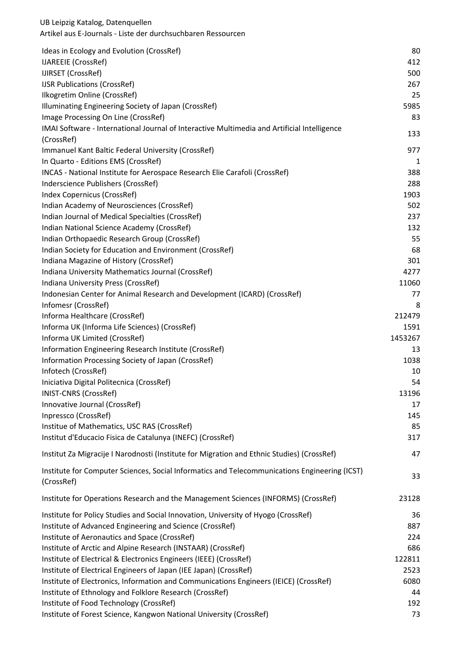| Ideas in Ecology and Evolution (CrossRef)                                                                   | 80      |
|-------------------------------------------------------------------------------------------------------------|---------|
| IJAREEIE (CrossRef)                                                                                         | 412     |
| IJIRSET (CrossRef)                                                                                          | 500     |
| <b>IJSR Publications (CrossRef)</b>                                                                         | 267     |
| Ilkogretim Online (CrossRef)                                                                                | 25      |
| Illuminating Engineering Society of Japan (CrossRef)                                                        | 5985    |
| Image Processing On Line (CrossRef)                                                                         | 83      |
| IMAI Software - International Journal of Interactive Multimedia and Artificial Intelligence                 | 133     |
| (CrossRef)                                                                                                  |         |
| Immanuel Kant Baltic Federal University (CrossRef)                                                          | 977     |
| In Quarto - Editions EMS (CrossRef)                                                                         | 1       |
| INCAS - National Institute for Aerospace Research Elie Carafoli (CrossRef)                                  | 388     |
| Inderscience Publishers (CrossRef)                                                                          | 288     |
| Index Copernicus (CrossRef)                                                                                 | 1903    |
| Indian Academy of Neurosciences (CrossRef)                                                                  | 502     |
| Indian Journal of Medical Specialties (CrossRef)                                                            | 237     |
| Indian National Science Academy (CrossRef)                                                                  | 132     |
| Indian Orthopaedic Research Group (CrossRef)                                                                | 55      |
| Indian Society for Education and Environment (CrossRef)                                                     | 68      |
| Indiana Magazine of History (CrossRef)                                                                      | 301     |
| Indiana University Mathematics Journal (CrossRef)                                                           | 4277    |
| Indiana University Press (CrossRef)                                                                         | 11060   |
| Indonesian Center for Animal Research and Development (ICARD) (CrossRef)                                    | 77      |
| Infomesr (CrossRef)                                                                                         | 8       |
| Informa Healthcare (CrossRef)                                                                               | 212479  |
| Informa UK (Informa Life Sciences) (CrossRef)                                                               | 1591    |
| Informa UK Limited (CrossRef)                                                                               | 1453267 |
| Information Engineering Research Institute (CrossRef)                                                       | 13      |
| Information Processing Society of Japan (CrossRef)                                                          | 1038    |
| Infotech (CrossRef)                                                                                         | 10      |
| Iniciativa Digital Politecnica (CrossRef)                                                                   | 54      |
| <b>INIST-CNRS (CrossRef)</b>                                                                                | 13196   |
| Innovative Journal (CrossRef)                                                                               | 17      |
| Inpressco (CrossRef)                                                                                        | 145     |
| Institue of Mathematics, USC RAS (CrossRef)                                                                 | 85      |
| Institut d'Educacio Fisica de Catalunya (INEFC) (CrossRef)                                                  | 317     |
| Institut Za Migracije I Narodnosti (Institute for Migration and Ethnic Studies) (CrossRef)                  | 47      |
| Institute for Computer Sciences, Social Informatics and Telecommunications Engineering (ICST)<br>(CrossRef) | 33      |
| Institute for Operations Research and the Management Sciences (INFORMS) (CrossRef)                          | 23128   |
| Institute for Policy Studies and Social Innovation, University of Hyogo (CrossRef)                          | 36      |
| Institute of Advanced Engineering and Science (CrossRef)                                                    | 887     |
| Institute of Aeronautics and Space (CrossRef)                                                               | 224     |
| Institute of Arctic and Alpine Research (INSTAAR) (CrossRef)                                                | 686     |
| Institute of Electrical & Electronics Engineers (IEEE) (CrossRef)                                           | 122811  |
| Institute of Electrical Engineers of Japan (IEE Japan) (CrossRef)                                           | 2523    |
| Institute of Electronics, Information and Communications Engineers (IEICE) (CrossRef)                       | 6080    |
| Institute of Ethnology and Folklore Research (CrossRef)                                                     | 44      |
| Institute of Food Technology (CrossRef)                                                                     | 192     |
| Institute of Forest Science, Kangwon National University (CrossRef)                                         | 73      |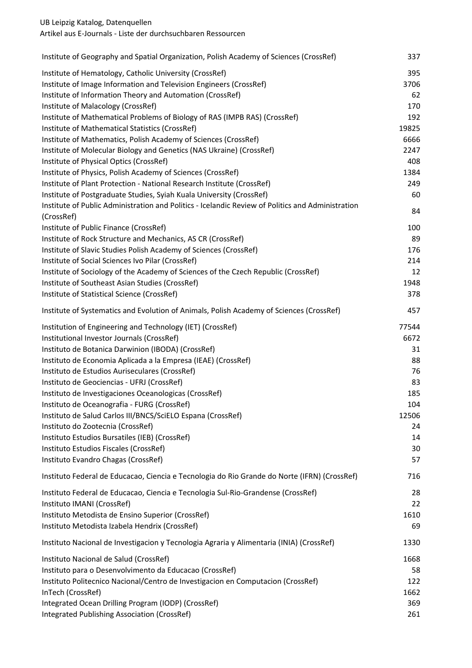Artikel aus E-Journals - Liste der durchsuchbaren Ressourcen

|                                                                                                   | 337   |
|---------------------------------------------------------------------------------------------------|-------|
| Institute of Hematology, Catholic University (CrossRef)                                           | 395   |
| Institute of Image Information and Television Engineers (CrossRef)                                | 3706  |
| Institute of Information Theory and Automation (CrossRef)                                         | 62    |
| Institute of Malacology (CrossRef)                                                                | 170   |
| Institute of Mathematical Problems of Biology of RAS (IMPB RAS) (CrossRef)                        | 192   |
| Institute of Mathematical Statistics (CrossRef)                                                   | 19825 |
| Institute of Mathematics, Polish Academy of Sciences (CrossRef)                                   | 6666  |
| Institute of Molecular Biology and Genetics (NAS Ukraine) (CrossRef)                              | 2247  |
| Institute of Physical Optics (CrossRef)                                                           | 408   |
| Institute of Physics, Polish Academy of Sciences (CrossRef)                                       | 1384  |
| Institute of Plant Protection - National Research Institute (CrossRef)                            | 249   |
| Institute of Postgraduate Studies, Syiah Kuala University (CrossRef)                              | 60    |
| Institute of Public Administration and Politics - Icelandic Review of Politics and Administration |       |
| (CrossRef)                                                                                        | 84    |
| Institute of Public Finance (CrossRef)                                                            | 100   |
| Institute of Rock Structure and Mechanics, AS CR (CrossRef)                                       | 89    |
| Institute of Slavic Studies Polish Academy of Sciences (CrossRef)                                 | 176   |
| Institute of Social Sciences Ivo Pilar (CrossRef)                                                 | 214   |
| Institute of Sociology of the Academy of Sciences of the Czech Republic (CrossRef)                | 12    |
| Institute of Southeast Asian Studies (CrossRef)                                                   | 1948  |
| Institute of Statistical Science (CrossRef)                                                       | 378   |
| Institute of Systematics and Evolution of Animals, Polish Academy of Sciences (CrossRef)          | 457   |
| Institution of Engineering and Technology (IET) (CrossRef)                                        | 77544 |
| Institutional Investor Journals (CrossRef)                                                        | 6672  |
| Instituto de Botanica Darwinion (IBODA) (CrossRef)                                                | 31    |
| Instituto de Economia Aplicada a la Empresa (IEAE) (CrossRef)                                     | 88    |
| Instituto de Estudios Auriseculares (CrossRef)                                                    | 76    |
| Instituto de Geociencias - UFRJ (CrossRef)                                                        | 83    |
| Instituto de Investigaciones Oceanologicas (CrossRef)                                             | 185   |
| Instituto de Oceanografia - FURG (CrossRef)                                                       | 104   |
| Instituto de Salud Carlos III/BNCS/SciELO Espana (CrossRef)                                       | 12506 |
| Instituto do Zootecnia (CrossRef)                                                                 | 24    |
| Instituto Estudios Bursatiles (IEB) (CrossRef)                                                    | 14    |
| Instituto Estudios Fiscales (CrossRef)                                                            | 30    |
| Instituto Evandro Chagas (CrossRef)                                                               | 57    |
| Instituto Federal de Educacao, Ciencia e Tecnologia do Rio Grande do Norte (IFRN) (CrossRef)      | 716   |
| Instituto Federal de Educacao, Ciencia e Tecnologia Sul-Rio-Grandense (CrossRef)                  | 28    |
| Instituto IMANI (CrossRef)                                                                        | 22    |
| Instituto Metodista de Ensino Superior (CrossRef)                                                 | 1610  |
| Instituto Metodista Izabela Hendrix (CrossRef)                                                    | 69    |
| Instituto Nacional de Investigacion y Tecnologia Agraria y Alimentaria (INIA) (CrossRef)          | 1330  |
| Instituto Nacional de Salud (CrossRef)                                                            | 1668  |
| Instituto para o Desenvolvimento da Educacao (CrossRef)                                           | 58    |
| Instituto Politecnico Nacional/Centro de Investigacion en Computacion (CrossRef)                  | 122   |
| InTech (CrossRef)                                                                                 | 1662  |
| Integrated Ocean Drilling Program (IODP) (CrossRef)                                               | 369   |
| Integrated Publishing Association (CrossRef)                                                      | 261   |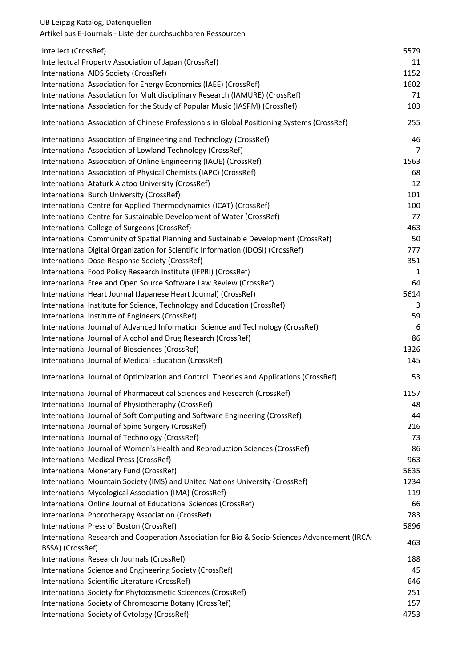| Artikel aus E-Journals - Liste der durchsuchbaren Ressourcen                                                       |      |
|--------------------------------------------------------------------------------------------------------------------|------|
| Intellect (CrossRef)                                                                                               | 5579 |
| Intellectual Property Association of Japan (CrossRef)                                                              | 11   |
| International AIDS Society (CrossRef)                                                                              | 1152 |
| International Association for Energy Economics (IAEE) (CrossRef)                                                   | 1602 |
| International Association for Multidisciplinary Research (IAMURE) (CrossRef)                                       | 71   |
| International Association for the Study of Popular Music (IASPM) (CrossRef)                                        | 103  |
| International Association of Chinese Professionals in Global Positioning Systems (CrossRef)                        | 255  |
| International Association of Engineering and Technology (CrossRef)                                                 | 46   |
| International Association of Lowland Technology (CrossRef)                                                         | 7    |
| International Association of Online Engineering (IAOE) (CrossRef)                                                  | 1563 |
| International Association of Physical Chemists (IAPC) (CrossRef)                                                   | 68   |
| International Ataturk Alatoo University (CrossRef)                                                                 | 12   |
| International Burch University (CrossRef)                                                                          | 101  |
| International Centre for Applied Thermodynamics (ICAT) (CrossRef)                                                  | 100  |
| International Centre for Sustainable Development of Water (CrossRef)                                               | 77   |
| International College of Surgeons (CrossRef)                                                                       | 463  |
| International Community of Spatial Planning and Sustainable Development (CrossRef)                                 | 50   |
| International Digital Organization for Scientific Information (IDOSI) (CrossRef)                                   | 777  |
| International Dose-Response Society (CrossRef)                                                                     | 351  |
| International Food Policy Research Institute (IFPRI) (CrossRef)                                                    | 1    |
| International Free and Open Source Software Law Review (CrossRef)                                                  | 64   |
| International Heart Journal (Japanese Heart Journal) (CrossRef)                                                    | 5614 |
| International Institute for Science, Technology and Education (CrossRef)                                           | 3    |
| International Institute of Engineers (CrossRef)                                                                    | 59   |
| International Journal of Advanced Information Science and Technology (CrossRef)                                    | 6    |
| International Journal of Alcohol and Drug Research (CrossRef)                                                      | 86   |
| International Journal of Biosciences (CrossRef)                                                                    | 1326 |
| International Journal of Medical Education (CrossRef)                                                              | 145  |
| International Journal of Optimization and Control: Theories and Applications (CrossRef)                            | 53   |
| International Journal of Pharmaceutical Sciences and Research (CrossRef)                                           | 1157 |
| International Journal of Physiotheraphy (CrossRef)                                                                 | 48   |
| International Journal of Soft Computing and Software Engineering (CrossRef)                                        | 44   |
| International Journal of Spine Surgery (CrossRef)                                                                  | 216  |
| International Journal of Technology (CrossRef)                                                                     | 73   |
| International Journal of Women's Health and Reproduction Sciences (CrossRef)                                       | 86   |
| International Medical Press (CrossRef)                                                                             | 963  |
| International Monetary Fund (CrossRef)                                                                             | 5635 |
| International Mountain Society (IMS) and United Nations University (CrossRef)                                      | 1234 |
| International Mycological Association (IMA) (CrossRef)                                                             | 119  |
| International Online Journal of Educational Sciences (CrossRef)                                                    | 66   |
| International Phototherapy Association (CrossRef)                                                                  | 783  |
| International Press of Boston (CrossRef)                                                                           | 5896 |
| International Research and Cooperation Association for Bio & Socio-Sciences Advancement (IRCA-<br>BSSA) (CrossRef) | 463  |
| International Research Journals (CrossRef)                                                                         | 188  |
| International Science and Engineering Society (CrossRef)                                                           | 45   |
| International Scientific Literature (CrossRef)                                                                     | 646  |
| International Society for Phytocosmetic Scicences (CrossRef)                                                       | 251  |
| International Society of Chromosome Botany (CrossRef)                                                              | 157  |
| International Society of Cytology (CrossRef)                                                                       | 4753 |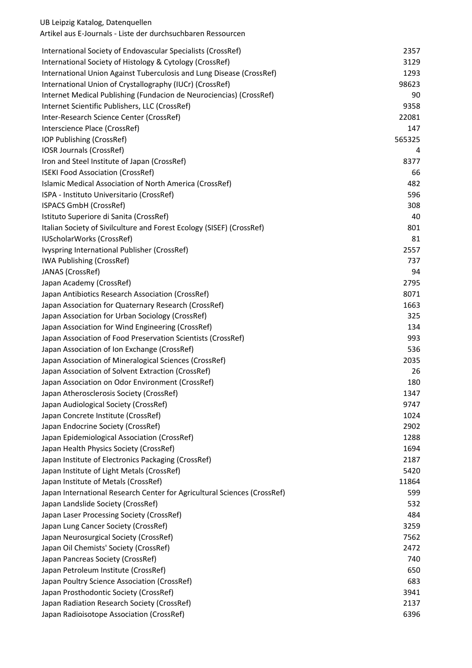| International Society of Endovascular Specialists (CrossRef)             | 2357   |
|--------------------------------------------------------------------------|--------|
| International Society of Histology & Cytology (CrossRef)                 | 3129   |
| International Union Against Tuberculosis and Lung Disease (CrossRef)     | 1293   |
| International Union of Crystallography (IUCr) (CrossRef)                 | 98623  |
| Internet Medical Publishing (Fundacion de Neurociencias) (CrossRef)      | 90     |
| Internet Scientific Publishers, LLC (CrossRef)                           | 9358   |
| Inter-Research Science Center (CrossRef)                                 | 22081  |
| Interscience Place (CrossRef)                                            | 147    |
| IOP Publishing (CrossRef)                                                | 565325 |
| IOSR Journals (CrossRef)                                                 | 4      |
| Iron and Steel Institute of Japan (CrossRef)                             | 8377   |
| <b>ISEKI Food Association (CrossRef)</b>                                 | 66     |
| Islamic Medical Association of North America (CrossRef)                  | 482    |
| ISPA - Instituto Universitario (CrossRef)                                | 596    |
| ISPACS GmbH (CrossRef)                                                   | 308    |
| Istituto Superiore di Sanita (CrossRef)                                  | 40     |
| Italian Society of Sivilculture and Forest Ecology (SISEF) (CrossRef)    | 801    |
| IUScholarWorks (CrossRef)                                                | 81     |
| Ivyspring International Publisher (CrossRef)                             | 2557   |
| <b>IWA Publishing (CrossRef)</b>                                         | 737    |
| JANAS (CrossRef)                                                         | 94     |
| Japan Academy (CrossRef)                                                 | 2795   |
| Japan Antibiotics Research Association (CrossRef)                        | 8071   |
| Japan Association for Quaternary Research (CrossRef)                     | 1663   |
| Japan Association for Urban Sociology (CrossRef)                         | 325    |
| Japan Association for Wind Engineering (CrossRef)                        | 134    |
| Japan Association of Food Preservation Scientists (CrossRef)             | 993    |
| Japan Association of Ion Exchange (CrossRef)                             | 536    |
| Japan Association of Mineralogical Sciences (CrossRef)                   | 2035   |
| Japan Association of Solvent Extraction (CrossRef)                       | 26     |
| Japan Association on Odor Environment (CrossRef)                         | 180    |
| Japan Atherosclerosis Society (CrossRef)                                 | 1347   |
| Japan Audiological Society (CrossRef)                                    | 9747   |
| Japan Concrete Institute (CrossRef)                                      | 1024   |
| Japan Endocrine Society (CrossRef)                                       | 2902   |
| Japan Epidemiological Association (CrossRef)                             | 1288   |
| Japan Health Physics Society (CrossRef)                                  | 1694   |
| Japan Institute of Electronics Packaging (CrossRef)                      | 2187   |
| Japan Institute of Light Metals (CrossRef)                               | 5420   |
| Japan Institute of Metals (CrossRef)                                     | 11864  |
| Japan International Research Center for Agricultural Sciences (CrossRef) | 599    |
| Japan Landslide Society (CrossRef)                                       | 532    |
| Japan Laser Processing Society (CrossRef)                                | 484    |
| Japan Lung Cancer Society (CrossRef)                                     | 3259   |
| Japan Neurosurgical Society (CrossRef)                                   | 7562   |
| Japan Oil Chemists' Society (CrossRef)                                   | 2472   |
| Japan Pancreas Society (CrossRef)                                        | 740    |
| Japan Petroleum Institute (CrossRef)                                     | 650    |
| Japan Poultry Science Association (CrossRef)                             | 683    |
| Japan Prosthodontic Society (CrossRef)                                   | 3941   |
| Japan Radiation Research Society (CrossRef)                              | 2137   |
| Japan Radioisotope Association (CrossRef)                                | 6396   |
|                                                                          |        |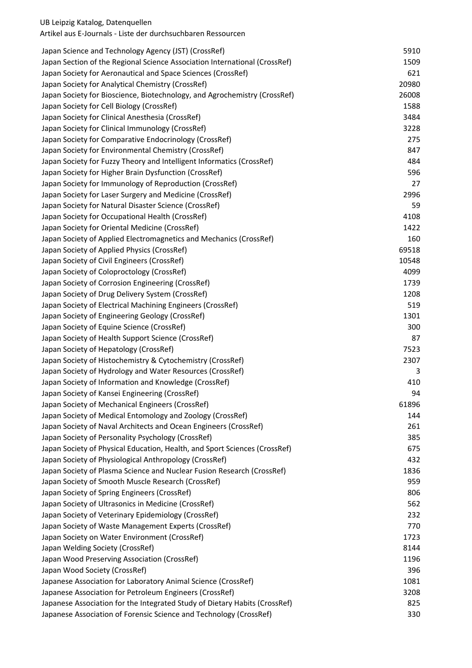| Japan Science and Technology Agency (JST) (CrossRef)                       | 5910  |
|----------------------------------------------------------------------------|-------|
| Japan Section of the Regional Science Association International (CrossRef) | 1509  |
| Japan Society for Aeronautical and Space Sciences (CrossRef)               | 621   |
| Japan Society for Analytical Chemistry (CrossRef)                          | 20980 |
| Japan Society for Bioscience, Biotechnology, and Agrochemistry (CrossRef)  | 26008 |
| Japan Society for Cell Biology (CrossRef)                                  | 1588  |
| Japan Society for Clinical Anesthesia (CrossRef)                           | 3484  |
| Japan Society for Clinical Immunology (CrossRef)                           | 3228  |
| Japan Society for Comparative Endocrinology (CrossRef)                     | 275   |
| Japan Society for Environmental Chemistry (CrossRef)                       | 847   |
| Japan Society for Fuzzy Theory and Intelligent Informatics (CrossRef)      | 484   |
| Japan Society for Higher Brain Dysfunction (CrossRef)                      | 596   |
| Japan Society for Immunology of Reproduction (CrossRef)                    | 27    |
| Japan Society for Laser Surgery and Medicine (CrossRef)                    | 2996  |
| Japan Society for Natural Disaster Science (CrossRef)                      | 59    |
| Japan Society for Occupational Health (CrossRef)                           | 4108  |
| Japan Society for Oriental Medicine (CrossRef)                             | 1422  |
| Japan Society of Applied Electromagnetics and Mechanics (CrossRef)         | 160   |
| Japan Society of Applied Physics (CrossRef)                                | 69518 |
| Japan Society of Civil Engineers (CrossRef)                                | 10548 |
| Japan Society of Coloproctology (CrossRef)                                 | 4099  |
| Japan Society of Corrosion Engineering (CrossRef)                          | 1739  |
| Japan Society of Drug Delivery System (CrossRef)                           | 1208  |
| Japan Society of Electrical Machining Engineers (CrossRef)                 | 519   |
| Japan Society of Engineering Geology (CrossRef)                            | 1301  |
| Japan Society of Equine Science (CrossRef)                                 | 300   |
| Japan Society of Health Support Science (CrossRef)                         | 87    |
| Japan Society of Hepatology (CrossRef)                                     | 7523  |
| Japan Society of Histochemistry & Cytochemistry (CrossRef)                 | 2307  |
| Japan Society of Hydrology and Water Resources (CrossRef)                  | 3     |
| Japan Society of Information and Knowledge (CrossRef)                      | 410   |
| Japan Society of Kansei Engineering (CrossRef)                             | 94    |
| Japan Society of Mechanical Engineers (CrossRef)                           | 61896 |
| Japan Society of Medical Entomology and Zoology (CrossRef)                 | 144   |
| Japan Society of Naval Architects and Ocean Engineers (CrossRef)           | 261   |
| Japan Society of Personality Psychology (CrossRef)                         | 385   |
| Japan Society of Physical Education, Health, and Sport Sciences (CrossRef) | 675   |
| Japan Society of Physiological Anthropology (CrossRef)                     | 432   |
| Japan Society of Plasma Science and Nuclear Fusion Research (CrossRef)     | 1836  |
| Japan Society of Smooth Muscle Research (CrossRef)                         | 959   |
| Japan Society of Spring Engineers (CrossRef)                               | 806   |
| Japan Society of Ultrasonics in Medicine (CrossRef)                        | 562   |
| Japan Society of Veterinary Epidemiology (CrossRef)                        | 232   |
| Japan Society of Waste Management Experts (CrossRef)                       | 770   |
| Japan Society on Water Environment (CrossRef)                              | 1723  |
|                                                                            |       |
| Japan Welding Society (CrossRef)                                           | 8144  |
| Japan Wood Preserving Association (CrossRef)                               | 1196  |
| Japan Wood Society (CrossRef)                                              | 396   |
| Japanese Association for Laboratory Animal Science (CrossRef)              | 1081  |
| Japanese Association for Petroleum Engineers (CrossRef)                    | 3208  |
| Japanese Association for the Integrated Study of Dietary Habits (CrossRef) | 825   |
| Japanese Association of Forensic Science and Technology (CrossRef)         | 330   |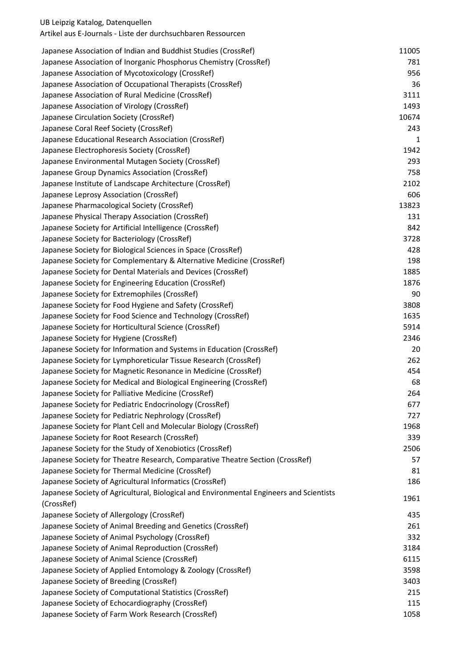# Artikel aus E-Journals - Liste der durchsuchbaren Ressourcen

| Japanese Association of Indian and Buddhist Studies (CrossRef)                          | 11005 |
|-----------------------------------------------------------------------------------------|-------|
| Japanese Association of Inorganic Phosphorus Chemistry (CrossRef)                       | 781   |
| Japanese Association of Mycotoxicology (CrossRef)                                       | 956   |
| Japanese Association of Occupational Therapists (CrossRef)                              | 36    |
| Japanese Association of Rural Medicine (CrossRef)                                       | 3111  |
| Japanese Association of Virology (CrossRef)                                             | 1493  |
|                                                                                         | 10674 |
| Japanese Circulation Society (CrossRef)                                                 |       |
| Japanese Coral Reef Society (CrossRef)                                                  | 243   |
| Japanese Educational Research Association (CrossRef)                                    | 1     |
| Japanese Electrophoresis Society (CrossRef)                                             | 1942  |
| Japanese Environmental Mutagen Society (CrossRef)                                       | 293   |
| Japanese Group Dynamics Association (CrossRef)                                          | 758   |
| Japanese Institute of Landscape Architecture (CrossRef)                                 | 2102  |
| Japanese Leprosy Association (CrossRef)                                                 | 606   |
| Japanese Pharmacological Society (CrossRef)                                             | 13823 |
| Japanese Physical Therapy Association (CrossRef)                                        | 131   |
| Japanese Society for Artificial Intelligence (CrossRef)                                 | 842   |
| Japanese Society for Bacteriology (CrossRef)                                            | 3728  |
| Japanese Society for Biological Sciences in Space (CrossRef)                            | 428   |
| Japanese Society for Complementary & Alternative Medicine (CrossRef)                    | 198   |
| Japanese Society for Dental Materials and Devices (CrossRef)                            | 1885  |
| Japanese Society for Engineering Education (CrossRef)                                   | 1876  |
| Japanese Society for Extremophiles (CrossRef)                                           | 90    |
| Japanese Society for Food Hygiene and Safety (CrossRef)                                 | 3808  |
| Japanese Society for Food Science and Technology (CrossRef)                             | 1635  |
| Japanese Society for Horticultural Science (CrossRef)                                   | 5914  |
| Japanese Society for Hygiene (CrossRef)                                                 | 2346  |
| Japanese Society for Information and Systems in Education (CrossRef)                    | 20    |
|                                                                                         | 262   |
| Japanese Society for Lymphoreticular Tissue Research (CrossRef)                         |       |
| Japanese Society for Magnetic Resonance in Medicine (CrossRef)                          | 454   |
| Japanese Society for Medical and Biological Engineering (CrossRef)                      | 68    |
| Japanese Society for Palliative Medicine (CrossRef)                                     | 264   |
| Japanese Society for Pediatric Endocrinology (CrossRef)                                 | 677   |
| Japanese Society for Pediatric Nephrology (CrossRef)                                    | 727   |
| Japanese Society for Plant Cell and Molecular Biology (CrossRef)                        | 1968  |
| Japanese Society for Root Research (CrossRef)                                           | 339   |
| Japanese Society for the Study of Xenobiotics (CrossRef)                                | 2506  |
| Japanese Society for Theatre Research, Comparative Theatre Section (CrossRef)           | 57    |
| Japanese Society for Thermal Medicine (CrossRef)                                        | 81    |
| Japanese Society of Agricultural Informatics (CrossRef)                                 | 186   |
| Japanese Society of Agricultural, Biological and Environmental Engineers and Scientists | 1961  |
| (CrossRef)                                                                              |       |
| Japanese Society of Allergology (CrossRef)                                              | 435   |
| Japanese Society of Animal Breeding and Genetics (CrossRef)                             | 261   |
| Japanese Society of Animal Psychology (CrossRef)                                        | 332   |
| Japanese Society of Animal Reproduction (CrossRef)                                      | 3184  |
| Japanese Society of Animal Science (CrossRef)                                           | 6115  |
| Japanese Society of Applied Entomology & Zoology (CrossRef)                             | 3598  |
| Japanese Society of Breeding (CrossRef)                                                 | 3403  |
| Japanese Society of Computational Statistics (CrossRef)                                 | 215   |
| Japanese Society of Echocardiography (CrossRef)                                         | 115   |
| Japanese Society of Farm Work Research (CrossRef)                                       | 1058  |
|                                                                                         |       |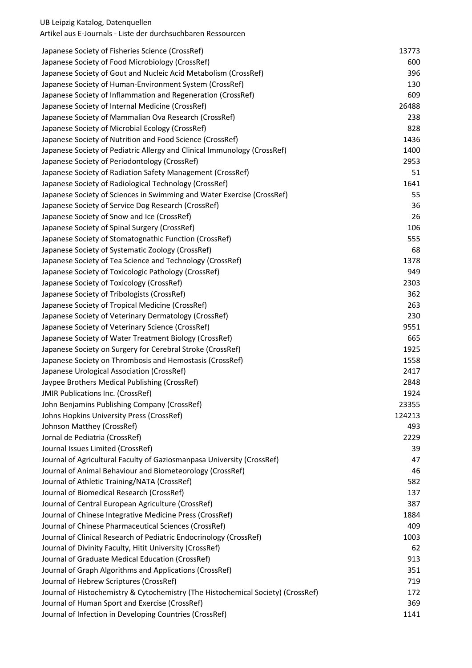| Japanese Society of Fisheries Science (CrossRef)                                 | 13773  |
|----------------------------------------------------------------------------------|--------|
| Japanese Society of Food Microbiology (CrossRef)                                 | 600    |
| Japanese Society of Gout and Nucleic Acid Metabolism (CrossRef)                  | 396    |
| Japanese Society of Human-Environment System (CrossRef)                          | 130    |
| Japanese Society of Inflammation and Regeneration (CrossRef)                     | 609    |
| Japanese Society of Internal Medicine (CrossRef)                                 | 26488  |
| Japanese Society of Mammalian Ova Research (CrossRef)                            | 238    |
| Japanese Society of Microbial Ecology (CrossRef)                                 | 828    |
| Japanese Society of Nutrition and Food Science (CrossRef)                        | 1436   |
| Japanese Society of Pediatric Allergy and Clinical Immunology (CrossRef)         | 1400   |
| Japanese Society of Periodontology (CrossRef)                                    | 2953   |
| Japanese Society of Radiation Safety Management (CrossRef)                       | 51     |
| Japanese Society of Radiological Technology (CrossRef)                           | 1641   |
| Japanese Society of Sciences in Swimming and Water Exercise (CrossRef)           | 55     |
| Japanese Society of Service Dog Research (CrossRef)                              | 36     |
| Japanese Society of Snow and Ice (CrossRef)                                      | 26     |
| Japanese Society of Spinal Surgery (CrossRef)                                    | 106    |
| Japanese Society of Stomatognathic Function (CrossRef)                           | 555    |
| Japanese Society of Systematic Zoology (CrossRef)                                | 68     |
| Japanese Society of Tea Science and Technology (CrossRef)                        | 1378   |
| Japanese Society of Toxicologic Pathology (CrossRef)                             | 949    |
| Japanese Society of Toxicology (CrossRef)                                        | 2303   |
| Japanese Society of Tribologists (CrossRef)                                      | 362    |
| Japanese Society of Tropical Medicine (CrossRef)                                 | 263    |
| Japanese Society of Veterinary Dermatology (CrossRef)                            | 230    |
| Japanese Society of Veterinary Science (CrossRef)                                | 9551   |
| Japanese Society of Water Treatment Biology (CrossRef)                           | 665    |
| Japanese Society on Surgery for Cerebral Stroke (CrossRef)                       | 1925   |
| Japanese Society on Thrombosis and Hemostasis (CrossRef)                         | 1558   |
| Japanese Urological Association (CrossRef)                                       | 2417   |
| Jaypee Brothers Medical Publishing (CrossRef)                                    | 2848   |
| <b>JMIR Publications Inc. (CrossRef)</b>                                         | 1924   |
| John Benjamins Publishing Company (CrossRef)                                     | 23355  |
| Johns Hopkins University Press (CrossRef)                                        | 124213 |
| Johnson Matthey (CrossRef)                                                       | 493    |
| Jornal de Pediatria (CrossRef)                                                   | 2229   |
| Journal Issues Limited (CrossRef)                                                | 39     |
| Journal of Agricultural Faculty of Gaziosmanpasa University (CrossRef)           | 47     |
| Journal of Animal Behaviour and Biometeorology (CrossRef)                        | 46     |
| Journal of Athletic Training/NATA (CrossRef)                                     | 582    |
| Journal of Biomedical Research (CrossRef)                                        | 137    |
| Journal of Central European Agriculture (CrossRef)                               | 387    |
| Journal of Chinese Integrative Medicine Press (CrossRef)                         | 1884   |
| Journal of Chinese Pharmaceutical Sciences (CrossRef)                            | 409    |
| Journal of Clinical Research of Pediatric Endocrinology (CrossRef)               | 1003   |
| Journal of Divinity Faculty, Hitit University (CrossRef)                         | 62     |
| Journal of Graduate Medical Education (CrossRef)                                 | 913    |
| Journal of Graph Algorithms and Applications (CrossRef)                          | 351    |
| Journal of Hebrew Scriptures (CrossRef)                                          | 719    |
| Journal of Histochemistry & Cytochemistry (The Histochemical Society) (CrossRef) | 172    |
| Journal of Human Sport and Exercise (CrossRef)                                   | 369    |
| Journal of Infection in Developing Countries (CrossRef)                          | 1141   |
|                                                                                  |        |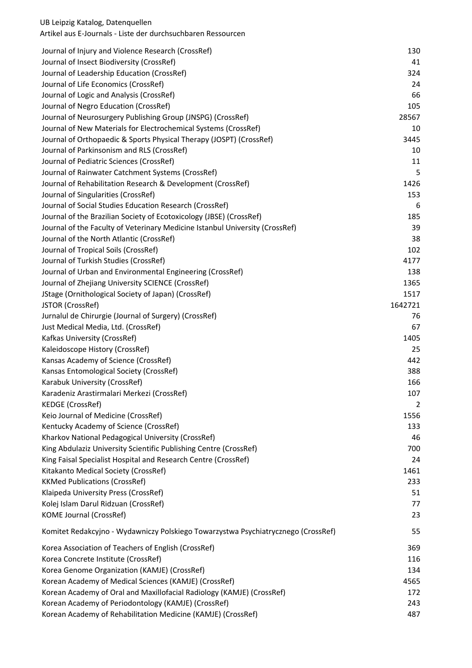| Journal of Injury and Violence Research (CrossRef)                                | 130     |
|-----------------------------------------------------------------------------------|---------|
| Journal of Insect Biodiversity (CrossRef)                                         | 41      |
| Journal of Leadership Education (CrossRef)                                        | 324     |
| Journal of Life Economics (CrossRef)                                              | 24      |
| Journal of Logic and Analysis (CrossRef)                                          | 66      |
| Journal of Negro Education (CrossRef)                                             | 105     |
| Journal of Neurosurgery Publishing Group (JNSPG) (CrossRef)                       | 28567   |
| Journal of New Materials for Electrochemical Systems (CrossRef)                   | 10      |
| Journal of Orthopaedic & Sports Physical Therapy (JOSPT) (CrossRef)               | 3445    |
| Journal of Parkinsonism and RLS (CrossRef)                                        | 10      |
| Journal of Pediatric Sciences (CrossRef)                                          | 11      |
| Journal of Rainwater Catchment Systems (CrossRef)                                 | 5       |
| Journal of Rehabilitation Research & Development (CrossRef)                       | 1426    |
| Journal of Singularities (CrossRef)                                               | 153     |
| Journal of Social Studies Education Research (CrossRef)                           | 6       |
| Journal of the Brazilian Society of Ecotoxicology (JBSE) (CrossRef)               | 185     |
| Journal of the Faculty of Veterinary Medicine Istanbul University (CrossRef)      | 39      |
| Journal of the North Atlantic (CrossRef)                                          | 38      |
| Journal of Tropical Soils (CrossRef)                                              | 102     |
| Journal of Turkish Studies (CrossRef)                                             | 4177    |
| Journal of Urban and Environmental Engineering (CrossRef)                         | 138     |
| Journal of Zhejiang University SCIENCE (CrossRef)                                 | 1365    |
| JStage (Ornithological Society of Japan) (CrossRef)                               | 1517    |
| JSTOR (CrossRef)                                                                  | 1642721 |
| Jurnalul de Chirurgie (Journal of Surgery) (CrossRef)                             | 76      |
| Just Medical Media, Ltd. (CrossRef)                                               | 67      |
| Kafkas University (CrossRef)                                                      | 1405    |
| Kaleidoscope History (CrossRef)                                                   | 25      |
| Kansas Academy of Science (CrossRef)                                              | 442     |
| Kansas Entomological Society (CrossRef)                                           | 388     |
| Karabuk University (CrossRef)                                                     | 166     |
| Karadeniz Arastirmalari Merkezi (CrossRef)                                        | 107     |
| <b>KEDGE (CrossRef)</b>                                                           | 2       |
| Keio Journal of Medicine (CrossRef)                                               | 1556    |
| Kentucky Academy of Science (CrossRef)                                            | 133     |
| Kharkov National Pedagogical University (CrossRef)                                | 46      |
| King Abdulaziz University Scientific Publishing Centre (CrossRef)                 | 700     |
| King Faisal Specialist Hospital and Research Centre (CrossRef)                    | 24      |
| Kitakanto Medical Society (CrossRef)                                              | 1461    |
| <b>KKMed Publications (CrossRef)</b>                                              | 233     |
| Klaipeda University Press (CrossRef)                                              | 51      |
| Kolej Islam Darul Ridzuan (CrossRef)                                              | 77      |
| <b>KOME Journal (CrossRef)</b>                                                    | 23      |
| Komitet Redakcyjno - Wydawniczy Polskiego Towarzystwa Psychiatrycznego (CrossRef) | 55      |
| Korea Association of Teachers of English (CrossRef)                               | 369     |
| Korea Concrete Institute (CrossRef)                                               | 116     |
| Korea Genome Organization (KAMJE) (CrossRef)                                      | 134     |
| Korean Academy of Medical Sciences (KAMJE) (CrossRef)                             | 4565    |
| Korean Academy of Oral and Maxillofacial Radiology (KAMJE) (CrossRef)             | 172     |
| Korean Academy of Periodontology (KAMJE) (CrossRef)                               | 243     |
| Korean Academy of Rehabilitation Medicine (KAMJE) (CrossRef)                      | 487     |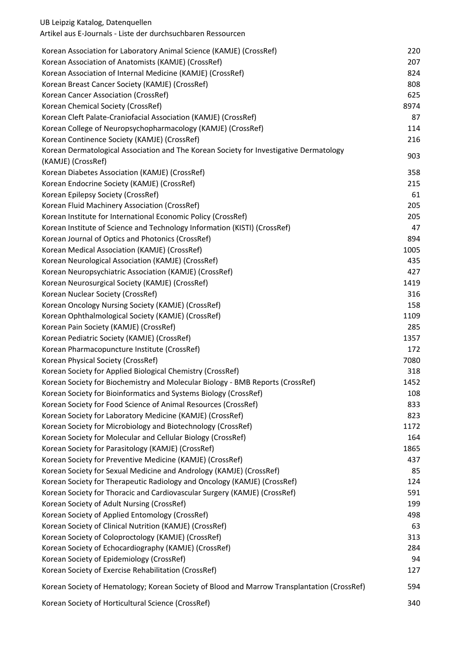| Korean Association for Laboratory Animal Science (KAMJE) (CrossRef)                         | 220  |
|---------------------------------------------------------------------------------------------|------|
| Korean Association of Anatomists (KAMJE) (CrossRef)                                         | 207  |
| Korean Association of Internal Medicine (KAMJE) (CrossRef)                                  | 824  |
| Korean Breast Cancer Society (KAMJE) (CrossRef)                                             | 808  |
| Korean Cancer Association (CrossRef)                                                        | 625  |
| Korean Chemical Society (CrossRef)                                                          | 8974 |
| Korean Cleft Palate-Craniofacial Association (KAMJE) (CrossRef)                             | 87   |
| Korean College of Neuropsychopharmacology (KAMJE) (CrossRef)                                | 114  |
| Korean Continence Society (KAMJE) (CrossRef)                                                | 216  |
| Korean Dermatological Association and The Korean Society for Investigative Dermatology      |      |
| (KAMJE) (CrossRef)                                                                          | 903  |
| Korean Diabetes Association (KAMJE) (CrossRef)                                              | 358  |
| Korean Endocrine Society (KAMJE) (CrossRef)                                                 | 215  |
| Korean Epilepsy Society (CrossRef)                                                          | 61   |
| Korean Fluid Machinery Association (CrossRef)                                               | 205  |
| Korean Institute for International Economic Policy (CrossRef)                               | 205  |
| Korean Institute of Science and Technology Information (KISTI) (CrossRef)                   | 47   |
| Korean Journal of Optics and Photonics (CrossRef)                                           | 894  |
| Korean Medical Association (KAMJE) (CrossRef)                                               | 1005 |
| Korean Neurological Association (KAMJE) (CrossRef)                                          | 435  |
| Korean Neuropsychiatric Association (KAMJE) (CrossRef)                                      | 427  |
| Korean Neurosurgical Society (KAMJE) (CrossRef)                                             | 1419 |
| Korean Nuclear Society (CrossRef)                                                           | 316  |
| Korean Oncology Nursing Society (KAMJE) (CrossRef)                                          | 158  |
| Korean Ophthalmological Society (KAMJE) (CrossRef)                                          | 1109 |
| Korean Pain Society (KAMJE) (CrossRef)                                                      | 285  |
| Korean Pediatric Society (KAMJE) (CrossRef)                                                 | 1357 |
| Korean Pharmacopuncture Institute (CrossRef)                                                | 172  |
| Korean Physical Society (CrossRef)                                                          | 7080 |
| Korean Society for Applied Biological Chemistry (CrossRef)                                  | 318  |
| Korean Society for Biochemistry and Molecular Biology - BMB Reports (CrossRef)              | 1452 |
| Korean Society for Bioinformatics and Systems Biology (CrossRef)                            | 108  |
| Korean Society for Food Science of Animal Resources (CrossRef)                              | 833  |
| Korean Society for Laboratory Medicine (KAMJE) (CrossRef)                                   | 823  |
| Korean Society for Microbiology and Biotechnology (CrossRef)                                | 1172 |
| Korean Society for Molecular and Cellular Biology (CrossRef)                                | 164  |
| Korean Society for Parasitology (KAMJE) (CrossRef)                                          | 1865 |
| Korean Society for Preventive Medicine (KAMJE) (CrossRef)                                   | 437  |
| Korean Society for Sexual Medicine and Andrology (KAMJE) (CrossRef)                         | 85   |
| Korean Society for Therapeutic Radiology and Oncology (KAMJE) (CrossRef)                    | 124  |
| Korean Society for Thoracic and Cardiovascular Surgery (KAMJE) (CrossRef)                   | 591  |
| Korean Society of Adult Nursing (CrossRef)                                                  | 199  |
| Korean Society of Applied Entomology (CrossRef)                                             | 498  |
| Korean Society of Clinical Nutrition (KAMJE) (CrossRef)                                     | 63   |
| Korean Society of Coloproctology (KAMJE) (CrossRef)                                         | 313  |
| Korean Society of Echocardiography (KAMJE) (CrossRef)                                       | 284  |
| Korean Society of Epidemiology (CrossRef)                                                   | 94   |
| Korean Society of Exercise Rehabilitation (CrossRef)                                        | 127  |
|                                                                                             |      |
| Korean Society of Hematology; Korean Society of Blood and Marrow Transplantation (CrossRef) | 594  |
|                                                                                             |      |

Korean Society of Horticultural Science (CrossRef) 340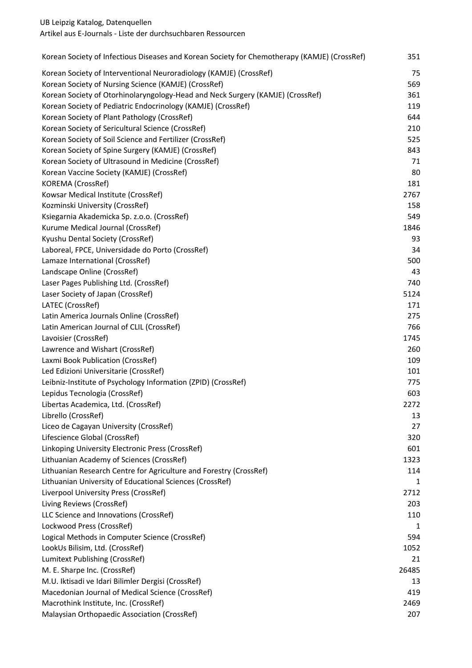Artikel aus E-Journals - Liste der durchsuchbaren Ressourcen

| Korean Society of Infectious Diseases and Korean Society for Chemotherapy (KAMJE) (CrossRef) | 351   |
|----------------------------------------------------------------------------------------------|-------|
| Korean Society of Interventional Neuroradiology (KAMJE) (CrossRef)                           | 75    |
| Korean Society of Nursing Science (KAMJE) (CrossRef)                                         | 569   |
| Korean Society of Otorhinolaryngology-Head and Neck Surgery (KAMJE) (CrossRef)               | 361   |
| Korean Society of Pediatric Endocrinology (KAMJE) (CrossRef)                                 | 119   |
| Korean Society of Plant Pathology (CrossRef)                                                 | 644   |
| Korean Society of Sericultural Science (CrossRef)                                            | 210   |
| Korean Society of Soil Science and Fertilizer (CrossRef)                                     | 525   |
| Korean Society of Spine Surgery (KAMJE) (CrossRef)                                           | 843   |
| Korean Society of Ultrasound in Medicine (CrossRef)                                          | 71    |
| Korean Vaccine Society (KAMJE) (CrossRef)                                                    | 80    |
| KOREMA (CrossRef)                                                                            | 181   |
| Kowsar Medical Institute (CrossRef)                                                          | 2767  |
| Kozminski University (CrossRef)                                                              | 158   |
| Ksiegarnia Akademicka Sp. z.o.o. (CrossRef)                                                  | 549   |
| Kurume Medical Journal (CrossRef)                                                            | 1846  |
| Kyushu Dental Society (CrossRef)                                                             | 93    |
| Laboreal, FPCE, Universidade do Porto (CrossRef)                                             | 34    |
| Lamaze International (CrossRef)                                                              | 500   |
| Landscape Online (CrossRef)                                                                  | 43    |
| Laser Pages Publishing Ltd. (CrossRef)                                                       | 740   |
| Laser Society of Japan (CrossRef)                                                            | 5124  |
| LATEC (CrossRef)                                                                             | 171   |
| Latin America Journals Online (CrossRef)                                                     | 275   |
| Latin American Journal of CLIL (CrossRef)                                                    | 766   |
| Lavoisier (CrossRef)                                                                         | 1745  |
| Lawrence and Wishart (CrossRef)                                                              | 260   |
| Laxmi Book Publication (CrossRef)                                                            | 109   |
| Led Edizioni Universitarie (CrossRef)                                                        | 101   |
| Leibniz-Institute of Psychology Information (ZPID) (CrossRef)                                | 775   |
| Lepidus Tecnologia (CrossRef)                                                                | 603   |
| Libertas Academica, Ltd. (CrossRef)                                                          | 2272  |
| Librello (CrossRef)                                                                          | 13    |
| Liceo de Cagayan University (CrossRef)                                                       | 27    |
| Lifescience Global (CrossRef)                                                                | 320   |
| Linkoping University Electronic Press (CrossRef)                                             | 601   |
| Lithuanian Academy of Sciences (CrossRef)                                                    | 1323  |
| Lithuanian Research Centre for Agriculture and Forestry (CrossRef)                           | 114   |
| Lithuanian University of Educational Sciences (CrossRef)                                     | 1     |
| Liverpool University Press (CrossRef)                                                        | 2712  |
| Living Reviews (CrossRef)                                                                    | 203   |
| LLC Science and Innovations (CrossRef)                                                       | 110   |
| Lockwood Press (CrossRef)                                                                    | 1     |
| Logical Methods in Computer Science (CrossRef)                                               | 594   |
| LookUs Bilisim, Ltd. (CrossRef)                                                              | 1052  |
| Lumitext Publishing (CrossRef)                                                               | 21    |
| M. E. Sharpe Inc. (CrossRef)                                                                 | 26485 |
| M.U. Iktisadi ve Idari Bilimler Dergisi (CrossRef)                                           | 13    |
| Macedonian Journal of Medical Science (CrossRef)                                             | 419   |
| Macrothink Institute, Inc. (CrossRef)                                                        | 2469  |
| Malaysian Orthopaedic Association (CrossRef)                                                 | 207   |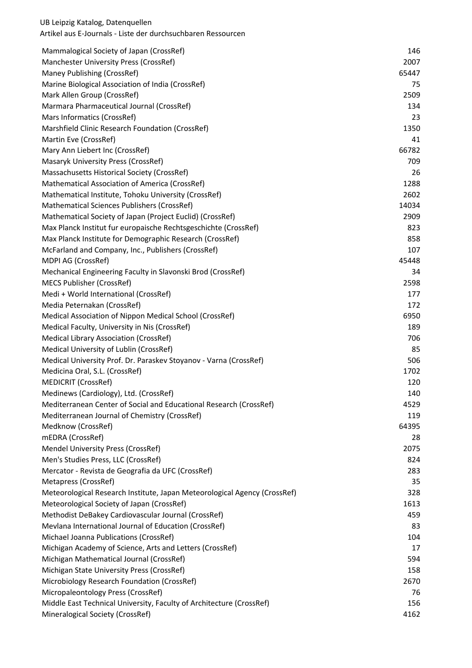| Mammalogical Society of Japan (CrossRef)                                  | 146   |
|---------------------------------------------------------------------------|-------|
| Manchester University Press (CrossRef)                                    | 2007  |
| Maney Publishing (CrossRef)                                               | 65447 |
| Marine Biological Association of India (CrossRef)                         | 75    |
| Mark Allen Group (CrossRef)                                               | 2509  |
| Marmara Pharmaceutical Journal (CrossRef)                                 | 134   |
| Mars Informatics (CrossRef)                                               | 23    |
| Marshfield Clinic Research Foundation (CrossRef)                          | 1350  |
| Martin Eve (CrossRef)                                                     | 41    |
| Mary Ann Liebert Inc (CrossRef)                                           | 66782 |
| Masaryk University Press (CrossRef)                                       | 709   |
| Massachusetts Historical Society (CrossRef)                               | 26    |
| Mathematical Association of America (CrossRef)                            | 1288  |
| Mathematical Institute, Tohoku University (CrossRef)                      | 2602  |
| Mathematical Sciences Publishers (CrossRef)                               | 14034 |
| Mathematical Society of Japan (Project Euclid) (CrossRef)                 | 2909  |
| Max Planck Institut fur europaische Rechtsgeschichte (CrossRef)           | 823   |
| Max Planck Institute for Demographic Research (CrossRef)                  | 858   |
| McFarland and Company, Inc., Publishers (CrossRef)                        | 107   |
| MDPI AG (CrossRef)                                                        | 45448 |
| Mechanical Engineering Faculty in Slavonski Brod (CrossRef)               | 34    |
| <b>MECS Publisher (CrossRef)</b>                                          | 2598  |
| Medi + World International (CrossRef)                                     | 177   |
| Media Peternakan (CrossRef)                                               | 172   |
| Medical Association of Nippon Medical School (CrossRef)                   | 6950  |
| Medical Faculty, University in Nis (CrossRef)                             | 189   |
| <b>Medical Library Association (CrossRef)</b>                             | 706   |
| Medical University of Lublin (CrossRef)                                   | 85    |
| Medical University Prof. Dr. Paraskev Stoyanov - Varna (CrossRef)         | 506   |
| Medicina Oral, S.L. (CrossRef)                                            | 1702  |
| <b>MEDICRIT (CrossRef)</b>                                                | 120   |
| Medinews (Cardiology), Ltd. (CrossRef)                                    | 140   |
| Mediterranean Center of Social and Educational Research (CrossRef)        | 4529  |
| Mediterranean Journal of Chemistry (CrossRef)                             | 119   |
| Medknow (CrossRef)                                                        | 64395 |
| mEDRA (CrossRef)                                                          | 28    |
| Mendel University Press (CrossRef)                                        | 2075  |
| Men's Studies Press, LLC (CrossRef)                                       | 824   |
| Mercator - Revista de Geografia da UFC (CrossRef)                         | 283   |
| Metapress (CrossRef)                                                      | 35    |
| Meteorological Research Institute, Japan Meteorological Agency (CrossRef) | 328   |
| Meteorological Society of Japan (CrossRef)                                | 1613  |
| Methodist DeBakey Cardiovascular Journal (CrossRef)                       | 459   |
| Mevlana International Journal of Education (CrossRef)                     | 83    |
| Michael Joanna Publications (CrossRef)                                    | 104   |
| Michigan Academy of Science, Arts and Letters (CrossRef)                  | 17    |
| Michigan Mathematical Journal (CrossRef)                                  | 594   |
| Michigan State University Press (CrossRef)                                | 158   |
| Microbiology Research Foundation (CrossRef)                               | 2670  |
| Micropaleontology Press (CrossRef)                                        | 76    |
| Middle East Technical University, Faculty of Architecture (CrossRef)      | 156   |
| Mineralogical Society (CrossRef)                                          | 4162  |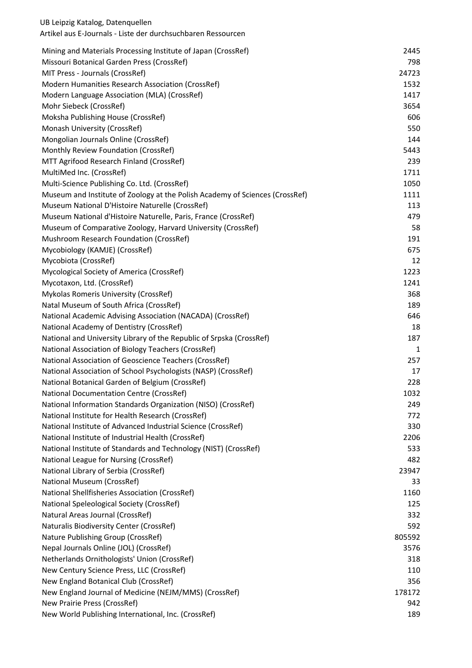| Mining and Materials Processing Institute of Japan (CrossRef)                 | 2445         |
|-------------------------------------------------------------------------------|--------------|
| Missouri Botanical Garden Press (CrossRef)<br>MIT Press - Journals (CrossRef) | 798<br>24723 |
| Modern Humanities Research Association (CrossRef)                             | 1532         |
| Modern Language Association (MLA) (CrossRef)                                  | 1417         |
| Mohr Siebeck (CrossRef)                                                       | 3654         |
| Moksha Publishing House (CrossRef)                                            | 606          |
| Monash University (CrossRef)                                                  | 550          |
| Mongolian Journals Online (CrossRef)                                          | 144          |
| Monthly Review Foundation (CrossRef)                                          | 5443         |
| MTT Agrifood Research Finland (CrossRef)                                      | 239          |
| MultiMed Inc. (CrossRef)                                                      | 1711         |
| Multi-Science Publishing Co. Ltd. (CrossRef)                                  | 1050         |
| Museum and Institute of Zoology at the Polish Academy of Sciences (CrossRef)  | 1111         |
| Museum National D'Histoire Naturelle (CrossRef)                               | 113          |
| Museum National d'Histoire Naturelle, Paris, France (CrossRef)                | 479          |
| Museum of Comparative Zoology, Harvard University (CrossRef)                  | 58           |
| Mushroom Research Foundation (CrossRef)                                       | 191          |
| Mycobiology (KAMJE) (CrossRef)                                                | 675          |
| Mycobiota (CrossRef)                                                          | 12           |
| Mycological Society of America (CrossRef)                                     | 1223         |
| Mycotaxon, Ltd. (CrossRef)                                                    | 1241         |
| Mykolas Romeris University (CrossRef)                                         | 368          |
| Natal Museum of South Africa (CrossRef)                                       | 189          |
| National Academic Advising Association (NACADA) (CrossRef)                    | 646          |
| National Academy of Dentistry (CrossRef)                                      | 18           |
| National and University Library of the Republic of Srpska (CrossRef)          | 187          |
| National Association of Biology Teachers (CrossRef)                           | 1            |
| National Association of Geoscience Teachers (CrossRef)                        | 257          |
| National Association of School Psychologists (NASP) (CrossRef)                | 17           |
| National Botanical Garden of Belgium (CrossRef)                               | 228          |
| <b>National Documentation Centre (CrossRef)</b>                               | 1032         |
| National Information Standards Organization (NISO) (CrossRef)                 | 249          |
| National Institute for Health Research (CrossRef)                             | 772          |
| National Institute of Advanced Industrial Science (CrossRef)                  | 330          |
| National Institute of Industrial Health (CrossRef)                            | 2206         |
| National Institute of Standards and Technology (NIST) (CrossRef)              | 533          |
| National League for Nursing (CrossRef)                                        | 482          |
| National Library of Serbia (CrossRef)                                         | 23947        |
| National Museum (CrossRef)                                                    | 33           |
| National Shellfisheries Association (CrossRef)                                | 1160         |
| National Speleological Society (CrossRef)                                     | 125          |
| Natural Areas Journal (CrossRef)                                              | 332          |
| Naturalis Biodiversity Center (CrossRef)                                      | 592          |
| Nature Publishing Group (CrossRef)                                            | 805592       |
| Nepal Journals Online (JOL) (CrossRef)                                        | 3576         |
| Netherlands Ornithologists' Union (CrossRef)                                  | 318          |
| New Century Science Press, LLC (CrossRef)                                     | 110          |
| New England Botanical Club (CrossRef)                                         | 356          |
| New England Journal of Medicine (NEJM/MMS) (CrossRef)                         | 178172       |
| New Prairie Press (CrossRef)                                                  | 942          |
| New World Publishing International, Inc. (CrossRef)                           | 189          |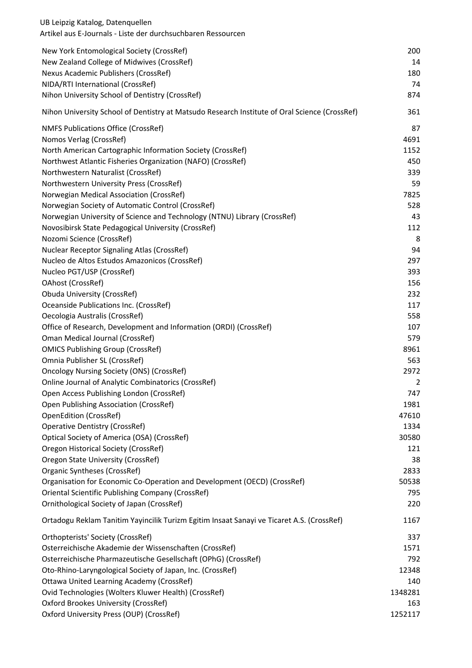| UB Leipzig Katalog, Datenquellen<br>Artikel aus E-Journals - Liste der durchsuchbaren Ressourcen |         |
|--------------------------------------------------------------------------------------------------|---------|
| New York Entomological Society (CrossRef)                                                        | 200     |
| New Zealand College of Midwives (CrossRef)                                                       | 14      |
| Nexus Academic Publishers (CrossRef)                                                             | 180     |
| NIDA/RTI International (CrossRef)                                                                | 74      |
| Nihon University School of Dentistry (CrossRef)                                                  | 874     |
| Nihon University School of Dentistry at Matsudo Research Institute of Oral Science (CrossRef)    | 361     |
| <b>NMFS Publications Office (CrossRef)</b>                                                       | 87      |
| Nomos Verlag (CrossRef)                                                                          | 4691    |
| North American Cartographic Information Society (CrossRef)                                       | 1152    |
| Northwest Atlantic Fisheries Organization (NAFO) (CrossRef)                                      | 450     |
| Northwestern Naturalist (CrossRef)                                                               | 339     |
| Northwestern University Press (CrossRef)                                                         | 59      |
| Norwegian Medical Association (CrossRef)                                                         | 7825    |
| Norwegian Society of Automatic Control (CrossRef)                                                | 528     |
| Norwegian University of Science and Technology (NTNU) Library (CrossRef)                         | 43      |
| Novosibirsk State Pedagogical University (CrossRef)                                              | 112     |
| Nozomi Science (CrossRef)                                                                        | 8       |
| <b>Nuclear Receptor Signaling Atlas (CrossRef)</b>                                               | 94      |
| Nucleo de Altos Estudos Amazonicos (CrossRef)                                                    | 297     |
| Nucleo PGT/USP (CrossRef)                                                                        | 393     |
| OAhost (CrossRef)                                                                                | 156     |
| Obuda University (CrossRef)                                                                      | 232     |
| Oceanside Publications Inc. (CrossRef)                                                           | 117     |
| Oecologia Australis (CrossRef)                                                                   | 558     |
| Office of Research, Development and Information (ORDI) (CrossRef)                                | 107     |
| Oman Medical Journal (CrossRef)                                                                  | 579     |
| <b>OMICS Publishing Group (CrossRef)</b>                                                         | 8961    |
| Omnia Publisher SL (CrossRef)                                                                    | 563     |
| <b>Oncology Nursing Society (ONS) (CrossRef)</b>                                                 | 2972    |
| <b>Online Journal of Analytic Combinatorics (CrossRef)</b>                                       | 2       |
| Open Access Publishing London (CrossRef)                                                         | 747     |
| Open Publishing Association (CrossRef)                                                           | 1981    |
| <b>OpenEdition (CrossRef)</b>                                                                    | 47610   |
| <b>Operative Dentistry (CrossRef)</b>                                                            | 1334    |
| Optical Society of America (OSA) (CrossRef)                                                      | 30580   |
| <b>Oregon Historical Society (CrossRef)</b>                                                      | 121     |
| <b>Oregon State University (CrossRef)</b>                                                        | 38      |
| Organic Syntheses (CrossRef)                                                                     | 2833    |
| Organisation for Economic Co-Operation and Development (OECD) (CrossRef)                         | 50538   |
| <b>Oriental Scientific Publishing Company (CrossRef)</b>                                         | 795     |
| Ornithological Society of Japan (CrossRef)                                                       | 220     |
| Ortadogu Reklam Tanitim Yayincilik Turizm Egitim Insaat Sanayi ve Ticaret A.S. (CrossRef)        | 1167    |
| Orthopterists' Society (CrossRef)                                                                | 337     |
| Osterreichische Akademie der Wissenschaften (CrossRef)                                           | 1571    |
| Osterreichische Pharmazeutische Gesellschaft (OPhG) (CrossRef)                                   | 792     |
| Oto-Rhino-Laryngological Society of Japan, Inc. (CrossRef)                                       | 12348   |
| Ottawa United Learning Academy (CrossRef)                                                        | 140     |
| Ovid Technologies (Wolters Kluwer Health) (CrossRef)                                             | 1348281 |
| Oxford Brookes University (CrossRef)                                                             | 163     |
| Oxford University Press (OUP) (CrossRef)                                                         | 1252117 |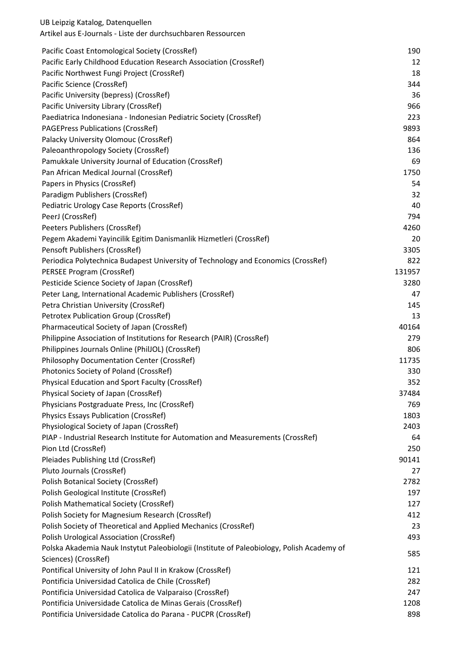| Pacific Coast Entomological Society (CrossRef)                                            | 190    |
|-------------------------------------------------------------------------------------------|--------|
| Pacific Early Childhood Education Research Association (CrossRef)                         | 12     |
| Pacific Northwest Fungi Project (CrossRef)                                                | 18     |
| Pacific Science (CrossRef)                                                                | 344    |
| Pacific University (bepress) (CrossRef)                                                   | 36     |
| Pacific University Library (CrossRef)                                                     | 966    |
| Paediatrica Indonesiana - Indonesian Pediatric Society (CrossRef)                         | 223    |
| <b>PAGEPress Publications (CrossRef)</b>                                                  | 9893   |
| Palacky University Olomouc (CrossRef)                                                     | 864    |
| Paleoanthropology Society (CrossRef)                                                      | 136    |
| Pamukkale University Journal of Education (CrossRef)                                      | 69     |
| Pan African Medical Journal (CrossRef)                                                    | 1750   |
| Papers in Physics (CrossRef)                                                              | 54     |
| Paradigm Publishers (CrossRef)                                                            | 32     |
| Pediatric Urology Case Reports (CrossRef)                                                 | 40     |
| PeerJ (CrossRef)                                                                          | 794    |
| Peeters Publishers (CrossRef)                                                             | 4260   |
| Pegem Akademi Yayincilik Egitim Danismanlik Hizmetleri (CrossRef)                         | 20     |
| Pensoft Publishers (CrossRef)                                                             | 3305   |
| Periodica Polytechnica Budapest University of Technology and Economics (CrossRef)         | 822    |
| PERSEE Program (CrossRef)                                                                 | 131957 |
| Pesticide Science Society of Japan (CrossRef)                                             | 3280   |
| Peter Lang, International Academic Publishers (CrossRef)                                  | 47     |
| Petra Christian University (CrossRef)                                                     | 145    |
| Petrotex Publication Group (CrossRef)                                                     | 13     |
| Pharmaceutical Society of Japan (CrossRef)                                                | 40164  |
| Philippine Association of Institutions for Research (PAIR) (CrossRef)                     | 279    |
| Philippines Journals Online (PhilJOL) (CrossRef)                                          | 806    |
| <b>Philosophy Documentation Center (CrossRef)</b>                                         | 11735  |
| Photonics Society of Poland (CrossRef)                                                    | 330    |
| Physical Education and Sport Faculty (CrossRef)                                           | 352    |
| Physical Society of Japan (CrossRef)                                                      | 37484  |
| Physicians Postgraduate Press, Inc (CrossRef)                                             | 769    |
| <b>Physics Essays Publication (CrossRef)</b>                                              | 1803   |
| Physiological Society of Japan (CrossRef)                                                 | 2403   |
| PIAP - Industrial Research Institute for Automation and Measurements (CrossRef)           | 64     |
| Pion Ltd (CrossRef)                                                                       | 250    |
| Pleiades Publishing Ltd (CrossRef)                                                        | 90141  |
| Pluto Journals (CrossRef)                                                                 | 27     |
| Polish Botanical Society (CrossRef)                                                       | 2782   |
| Polish Geological Institute (CrossRef)                                                    | 197    |
| Polish Mathematical Society (CrossRef)                                                    | 127    |
| Polish Society for Magnesium Research (CrossRef)                                          | 412    |
| Polish Society of Theoretical and Applied Mechanics (CrossRef)                            | 23     |
| <b>Polish Urological Association (CrossRef)</b>                                           | 493    |
| Polska Akademia Nauk Instytut Paleobiologii (Institute of Paleobiology, Polish Academy of | 585    |
| Sciences) (CrossRef)                                                                      |        |
| Pontifical University of John Paul II in Krakow (CrossRef)                                | 121    |
| Pontificia Universidad Catolica de Chile (CrossRef)                                       | 282    |
| Pontificia Universidad Catolica de Valparaiso (CrossRef)                                  | 247    |
| Pontificia Universidade Catolica de Minas Gerais (CrossRef)                               | 1208   |
| Pontificia Universidade Catolica do Parana - PUCPR (CrossRef)                             | 898    |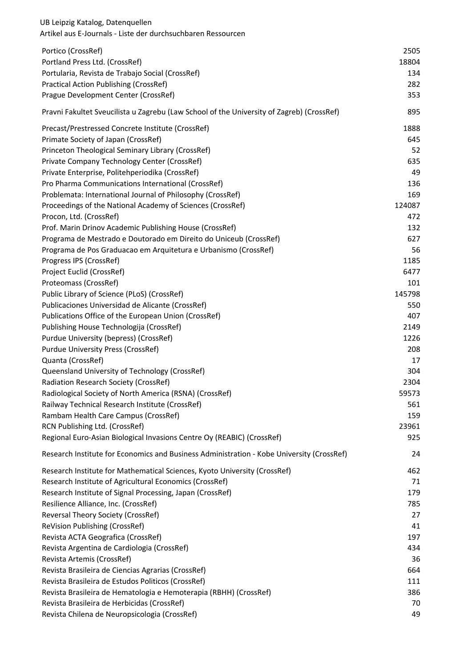| UB Leipzig Katalog, Datenquellen<br>Artikel aus E-Journals - Liste der durchsuchbaren Ressourcen |            |
|--------------------------------------------------------------------------------------------------|------------|
| Portico (CrossRef)                                                                               | 2505       |
| Portland Press Ltd. (CrossRef)                                                                   | 18804      |
| Portularia, Revista de Trabajo Social (CrossRef)                                                 | 134        |
| <b>Practical Action Publishing (CrossRef)</b>                                                    | 282        |
| Prague Development Center (CrossRef)                                                             | 353        |
| Pravni Fakultet Sveucilista u Zagrebu (Law School of the University of Zagreb) (CrossRef)        | 895        |
| Precast/Prestressed Concrete Institute (CrossRef)                                                | 1888       |
| Primate Society of Japan (CrossRef)                                                              | 645        |
| Princeton Theological Seminary Library (CrossRef)                                                | 52         |
| Private Company Technology Center (CrossRef)                                                     | 635        |
| Private Enterprise, Politehperiodika (CrossRef)                                                  | 49         |
| Pro Pharma Communications International (CrossRef)                                               | 136        |
| Problemata: International Journal of Philosophy (CrossRef)                                       | 169        |
| Proceedings of the National Academy of Sciences (CrossRef)                                       | 124087     |
| Procon, Ltd. (CrossRef)                                                                          | 472        |
| Prof. Marin Drinov Academic Publishing House (CrossRef)                                          | 132        |
| Programa de Mestrado e Doutorado em Direito do Uniceub (CrossRef)                                | 627        |
| Programa de Pos Graduacao em Arquitetura e Urbanismo (CrossRef)<br>Progress IPS (CrossRef)       | 56<br>1185 |
| Project Euclid (CrossRef)                                                                        | 6477       |
| Proteomass (CrossRef)                                                                            | 101        |
| Public Library of Science (PLoS) (CrossRef)                                                      | 145798     |
| Publicaciones Universidad de Alicante (CrossRef)                                                 | 550        |
| Publications Office of the European Union (CrossRef)                                             | 407        |
| Publishing House Technologija (CrossRef)                                                         | 2149       |
| Purdue University (bepress) (CrossRef)                                                           | 1226       |
| <b>Purdue University Press (CrossRef)</b>                                                        | 208        |
| Quanta (CrossRef)                                                                                | 17         |
| Queensland University of Technology (CrossRef)                                                   | 304        |
| Radiation Research Society (CrossRef)                                                            | 2304       |
| Radiological Society of North America (RSNA) (CrossRef)                                          | 59573      |
| Railway Technical Research Institute (CrossRef)                                                  | 561        |
| Rambam Health Care Campus (CrossRef)                                                             | 159        |
| RCN Publishing Ltd. (CrossRef)                                                                   | 23961      |
| Regional Euro-Asian Biological Invasions Centre Oy (REABIC) (CrossRef)                           | 925        |
| Research Institute for Economics and Business Administration - Kobe University (CrossRef)        | 24         |
| Research Institute for Mathematical Sciences, Kyoto University (CrossRef)                        | 462        |
| Research Institute of Agricultural Economics (CrossRef)                                          | 71         |
| Research Institute of Signal Processing, Japan (CrossRef)                                        | 179        |
| Resilience Alliance, Inc. (CrossRef)                                                             | 785        |
| Reversal Theory Society (CrossRef)                                                               | 27         |
| ReVision Publishing (CrossRef)                                                                   | 41         |
| Revista ACTA Geografica (CrossRef)                                                               | 197        |
| Revista Argentina de Cardiologia (CrossRef)                                                      | 434        |
| Revista Artemis (CrossRef)<br>Revista Brasileira de Ciencias Agrarias (CrossRef)                 | 36<br>664  |
| Revista Brasileira de Estudos Politicos (CrossRef)                                               | 111        |
| Revista Brasileira de Hematologia e Hemoterapia (RBHH) (CrossRef)                                | 386        |
| Revista Brasileira de Herbicidas (CrossRef)                                                      | 70         |
| Revista Chilena de Neuropsicologia (CrossRef)                                                    | 49         |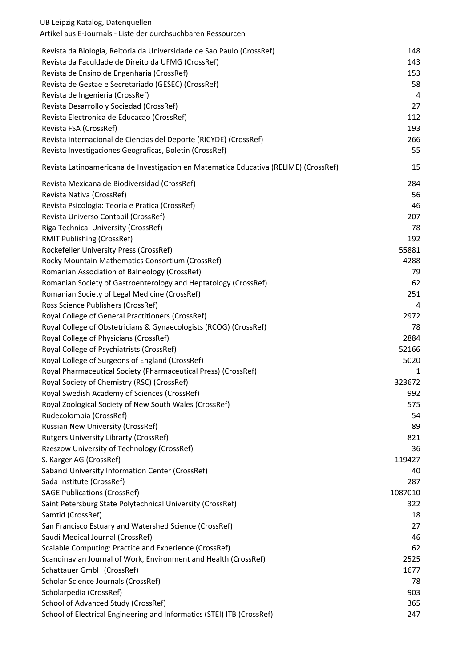| Artikel aus E-Journals - Liste der durchsuchbaren Ressourcen                         |                |
|--------------------------------------------------------------------------------------|----------------|
| Revista da Biologia, Reitoria da Universidade de Sao Paulo (CrossRef)                | 148            |
| Revista da Faculdade de Direito da UFMG (CrossRef)                                   | 143            |
| Revista de Ensino de Engenharia (CrossRef)                                           | 153            |
| Revista de Gestae e Secretariado (GESEC) (CrossRef)                                  | 58             |
| Revista de Ingenieria (CrossRef)                                                     | $\overline{4}$ |
| Revista Desarrollo y Sociedad (CrossRef)                                             | 27             |
| Revista Electronica de Educacao (CrossRef)                                           | 112            |
| Revista FSA (CrossRef)                                                               | 193            |
| Revista Internacional de Ciencias del Deporte (RICYDE) (CrossRef)                    | 266            |
| Revista Investigaciones Geograficas, Boletin (CrossRef)                              | 55             |
| Revista Latinoamericana de Investigacion en Matematica Educativa (RELIME) (CrossRef) | 15             |
| Revista Mexicana de Biodiversidad (CrossRef)                                         | 284            |
| Revista Nativa (CrossRef)                                                            | 56             |
| Revista Psicologia: Teoria e Pratica (CrossRef)                                      | 46             |
| Revista Universo Contabil (CrossRef)                                                 | 207            |
| Riga Technical University (CrossRef)                                                 | 78             |
| RMIT Publishing (CrossRef)                                                           | 192            |
| Rockefeller University Press (CrossRef)                                              | 55881          |
| Rocky Mountain Mathematics Consortium (CrossRef)                                     | 4288           |
| Romanian Association of Balneology (CrossRef)                                        | 79             |
| Romanian Society of Gastroenterology and Heptatology (CrossRef)                      | 62             |
| Romanian Society of Legal Medicine (CrossRef)                                        | 251            |
| Ross Science Publishers (CrossRef)                                                   | 4              |
| Royal College of General Practitioners (CrossRef)                                    | 2972           |
| Royal College of Obstetricians & Gynaecologists (RCOG) (CrossRef)                    | 78             |
| Royal College of Physicians (CrossRef)                                               | 2884           |
| Royal College of Psychiatrists (CrossRef)                                            | 52166          |
| Royal College of Surgeons of England (CrossRef)                                      | 5020           |
| Royal Pharmaceutical Society (Pharmaceutical Press) (CrossRef)                       | 1              |
| Royal Society of Chemistry (RSC) (CrossRef)                                          | 323672         |
| Royal Swedish Academy of Sciences (CrossRef)                                         | 992            |
| Royal Zoological Society of New South Wales (CrossRef)                               | 575            |
| Rudecolombia (CrossRef)                                                              | 54             |
| Russian New University (CrossRef)                                                    | 89             |
| <b>Rutgers University Librarty (CrossRef)</b>                                        | 821            |
| Rzeszow University of Technology (CrossRef)                                          | 36             |
| S. Karger AG (CrossRef)                                                              | 119427         |
| Sabanci University Information Center (CrossRef)                                     | 40             |
| Sada Institute (CrossRef)                                                            | 287            |
| <b>SAGE Publications (CrossRef)</b>                                                  | 1087010        |
| Saint Petersburg State Polytechnical University (CrossRef)                           | 322            |
| Samtid (CrossRef)                                                                    | 18             |
| San Francisco Estuary and Watershed Science (CrossRef)                               | 27             |
| Saudi Medical Journal (CrossRef)                                                     | 46             |
| Scalable Computing: Practice and Experience (CrossRef)                               | 62             |
| Scandinavian Journal of Work, Environment and Health (CrossRef)                      | 2525           |
| Schattauer GmbH (CrossRef)                                                           | 1677           |
| Scholar Science Journals (CrossRef)                                                  | 78             |
| Scholarpedia (CrossRef)                                                              | 903            |
| School of Advanced Study (CrossRef)                                                  | 365            |
| School of Electrical Engineering and Informatics (STEI) ITB (CrossRef)               | 247            |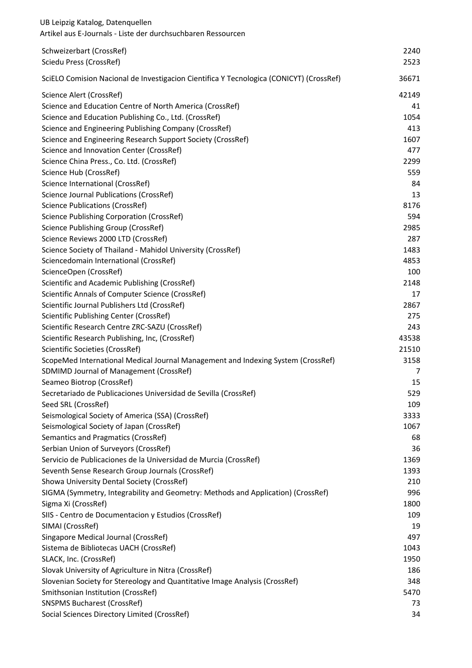| UB Leipzig Katalog, Datenquellen<br>Artikel aus E-Journals - Liste der durchsuchbaren Ressourcen |                |
|--------------------------------------------------------------------------------------------------|----------------|
| Schweizerbart (CrossRef)<br>Sciedu Press (CrossRef)                                              | 2240<br>2523   |
| SciELO Comision Nacional de Investigacion Cientifica Y Tecnologica (CONICYT) (CrossRef)          | 36671          |
| Science Alert (CrossRef)                                                                         | 42149          |
| Science and Education Centre of North America (CrossRef)                                         | 41             |
| Science and Education Publishing Co., Ltd. (CrossRef)                                            | 1054           |
| Science and Engineering Publishing Company (CrossRef)                                            | 413            |
| Science and Engineering Research Support Society (CrossRef)                                      | 1607           |
| Science and Innovation Center (CrossRef)                                                         | 477            |
| Science China Press., Co. Ltd. (CrossRef)                                                        | 2299           |
| Science Hub (CrossRef)                                                                           | 559            |
| Science International (CrossRef)                                                                 | 84             |
| Science Journal Publications (CrossRef)                                                          | 13             |
| <b>Science Publications (CrossRef)</b>                                                           | 8176           |
| Science Publishing Corporation (CrossRef)                                                        | 594            |
| Science Publishing Group (CrossRef)                                                              | 2985           |
| Science Reviews 2000 LTD (CrossRef)                                                              | 287            |
| Science Society of Thailand - Mahidol University (CrossRef)                                      | 1483           |
| Sciencedomain International (CrossRef)                                                           | 4853           |
| ScienceOpen (CrossRef)                                                                           | 100            |
| Scientific and Academic Publishing (CrossRef)                                                    | 2148           |
| Scientific Annals of Computer Science (CrossRef)                                                 | 17             |
| Scientific Journal Publishers Ltd (CrossRef)                                                     | 2867           |
| Scientific Publishing Center (CrossRef)                                                          | 275            |
| Scientific Research Centre ZRC-SAZU (CrossRef)                                                   | 243            |
| Scientific Research Publishing, Inc, (CrossRef)<br>Scientific Societies (CrossRef)               | 43538<br>21510 |
| ScopeMed International Medical Journal Management and Indexing System (CrossRef)                 | 3158           |
| SDMIMD Journal of Management (CrossRef)                                                          | 7              |
| Seameo Biotrop (CrossRef)                                                                        | 15             |
| Secretariado de Publicaciones Universidad de Sevilla (CrossRef)                                  | 529            |
| Seed SRL (CrossRef)                                                                              | 109            |
| Seismological Society of America (SSA) (CrossRef)                                                | 3333           |
| Seismological Society of Japan (CrossRef)                                                        | 1067           |
| Semantics and Pragmatics (CrossRef)                                                              | 68             |
| Serbian Union of Surveyors (CrossRef)                                                            | 36             |
| Servicio de Publicaciones de la Universidad de Murcia (CrossRef)                                 | 1369           |
| Seventh Sense Research Group Journals (CrossRef)                                                 | 1393           |
| Showa University Dental Society (CrossRef)                                                       | 210            |
| SIGMA (Symmetry, Integrability and Geometry: Methods and Application) (CrossRef)                 | 996            |
| Sigma Xi (CrossRef)                                                                              | 1800           |
| SIIS - Centro de Documentacion y Estudios (CrossRef)                                             | 109            |
| SIMAI (CrossRef)                                                                                 | 19             |
| Singapore Medical Journal (CrossRef)                                                             | 497            |
| Sistema de Bibliotecas UACH (CrossRef)                                                           | 1043           |
| SLACK, Inc. (CrossRef)                                                                           | 1950           |
| Slovak University of Agriculture in Nitra (CrossRef)                                             | 186            |
| Slovenian Society for Stereology and Quantitative Image Analysis (CrossRef)                      | 348            |
| Smithsonian Institution (CrossRef)                                                               | 5470           |
| <b>SNSPMS Bucharest (CrossRef)</b>                                                               | 73             |
| Social Sciences Directory Limited (CrossRef)                                                     | 34             |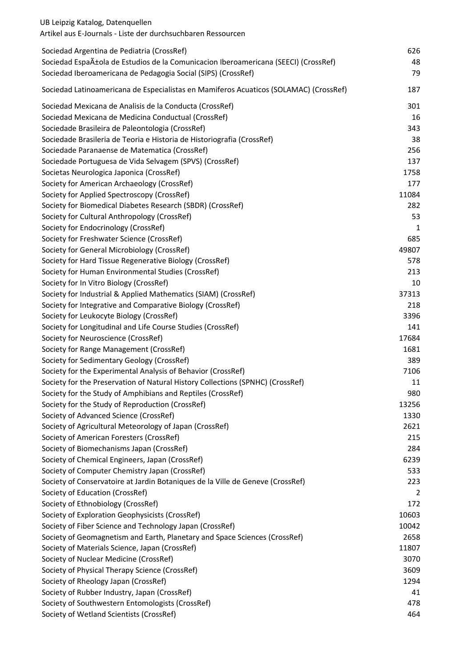| UB Leipzig Katalog, Datenquellen<br>Artikel aus E-Journals - Liste der durchsuchbaren Ressourcen |       |
|--------------------------------------------------------------------------------------------------|-------|
| Sociedad Argentina de Pediatria (CrossRef)                                                       | 626   |
| Sociedad Española de Estudios de la Comunicacion Iberoamericana (SEECI) (CrossRef)               | 48    |
| Sociedad Iberoamericana de Pedagogia Social (SIPS) (CrossRef)                                    | 79    |
| Sociedad Latinoamericana de Especialistas en Mamiferos Acuaticos (SOLAMAC) (CrossRef)            | 187   |
| Sociedad Mexicana de Analisis de la Conducta (CrossRef)                                          | 301   |
| Sociedad Mexicana de Medicina Conductual (CrossRef)                                              | 16    |
| Sociedade Brasileira de Paleontologia (CrossRef)                                                 | 343   |
| Sociedade Brasileria de Teoria e Historia de Historiografia (CrossRef)                           | 38    |
| Sociedade Paranaense de Matematica (CrossRef)                                                    | 256   |
| Sociedade Portuguesa de Vida Selvagem (SPVS) (CrossRef)                                          | 137   |
| Societas Neurologica Japonica (CrossRef)                                                         | 1758  |
| Society for American Archaeology (CrossRef)                                                      | 177   |
| Society for Applied Spectroscopy (CrossRef)                                                      | 11084 |
| Society for Biomedical Diabetes Research (SBDR) (CrossRef)                                       | 282   |
| Society for Cultural Anthropology (CrossRef)                                                     | 53    |
| Society for Endocrinology (CrossRef)                                                             | 1     |
| Society for Freshwater Science (CrossRef)                                                        | 685   |
| Society for General Microbiology (CrossRef)                                                      | 49807 |
| Society for Hard Tissue Regenerative Biology (CrossRef)                                          | 578   |
| Society for Human Environmental Studies (CrossRef)                                               | 213   |
| Society for In Vitro Biology (CrossRef)                                                          | 10    |
| Society for Industrial & Applied Mathematics (SIAM) (CrossRef)                                   | 37313 |
| Society for Integrative and Comparative Biology (CrossRef)                                       | 218   |
| Society for Leukocyte Biology (CrossRef)                                                         | 3396  |
| Society for Longitudinal and Life Course Studies (CrossRef)                                      | 141   |
| Society for Neuroscience (CrossRef)                                                              | 17684 |
| Society for Range Management (CrossRef)                                                          | 1681  |
| Society for Sedimentary Geology (CrossRef)                                                       | 389   |
| Society for the Experimental Analysis of Behavior (CrossRef)                                     | 7106  |
| Society for the Preservation of Natural History Collections (SPNHC) (CrossRef)                   | 11    |
| Society for the Study of Amphibians and Reptiles (CrossRef)                                      | 980   |
| Society for the Study of Reproduction (CrossRef)                                                 | 13256 |
| Society of Advanced Science (CrossRef)                                                           | 1330  |
| Society of Agricultural Meteorology of Japan (CrossRef)                                          | 2621  |
| Society of American Foresters (CrossRef)                                                         | 215   |
| Society of Biomechanisms Japan (CrossRef)                                                        | 284   |
| Society of Chemical Engineers, Japan (CrossRef)                                                  | 6239  |
| Society of Computer Chemistry Japan (CrossRef)                                                   | 533   |
| Society of Conservatoire at Jardin Botaniques de la Ville de Geneve (CrossRef)                   | 223   |
| Society of Education (CrossRef)                                                                  | 2     |
| Society of Ethnobiology (CrossRef)                                                               | 172   |
| Society of Exploration Geophysicists (CrossRef)                                                  | 10603 |
| Society of Fiber Science and Technology Japan (CrossRef)                                         | 10042 |
| Society of Geomagnetism and Earth, Planetary and Space Sciences (CrossRef)                       | 2658  |
| Society of Materials Science, Japan (CrossRef)                                                   | 11807 |
| Society of Nuclear Medicine (CrossRef)                                                           | 3070  |
| Society of Physical Therapy Science (CrossRef)                                                   | 3609  |
| Society of Rheology Japan (CrossRef)                                                             | 1294  |
| Society of Rubber Industry, Japan (CrossRef)                                                     | 41    |
| Society of Southwestern Entomologists (CrossRef)                                                 | 478   |
| Society of Wetland Scientists (CrossRef)                                                         | 464   |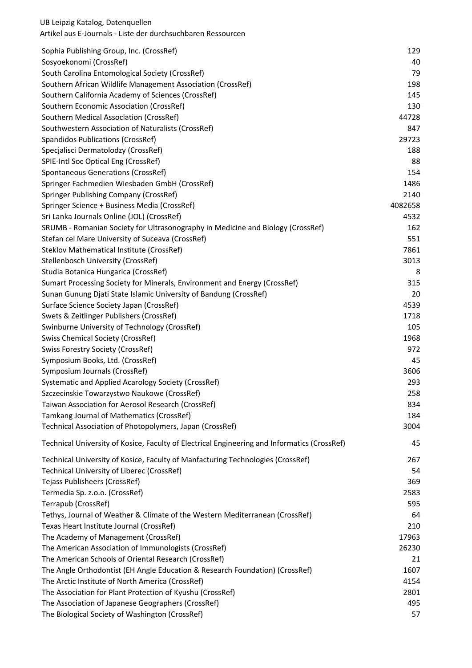| Sophia Publishing Group, Inc. (CrossRef)                                                     | 129     |
|----------------------------------------------------------------------------------------------|---------|
| Sosyoekonomi (CrossRef)                                                                      | 40      |
| South Carolina Entomological Society (CrossRef)                                              | 79      |
| Southern African Wildlife Management Association (CrossRef)                                  | 198     |
| Southern California Academy of Sciences (CrossRef)                                           | 145     |
| Southern Economic Association (CrossRef)                                                     | 130     |
| Southern Medical Association (CrossRef)                                                      | 44728   |
| Southwestern Association of Naturalists (CrossRef)                                           | 847     |
| Spandidos Publications (CrossRef)                                                            | 29723   |
| Specjalisci Dermatolodzy (CrossRef)                                                          | 188     |
| SPIE-Intl Soc Optical Eng (CrossRef)                                                         | 88      |
| Spontaneous Generations (CrossRef)                                                           | 154     |
| Springer Fachmedien Wiesbaden GmbH (CrossRef)                                                | 1486    |
| Springer Publishing Company (CrossRef)                                                       | 2140    |
| Springer Science + Business Media (CrossRef)                                                 | 4082658 |
| Sri Lanka Journals Online (JOL) (CrossRef)                                                   | 4532    |
| SRUMB - Romanian Society for Ultrasonography in Medicine and Biology (CrossRef)              | 162     |
| Stefan cel Mare University of Suceava (CrossRef)                                             | 551     |
| Steklov Mathematical Institute (CrossRef)                                                    | 7861    |
| Stellenbosch University (CrossRef)                                                           | 3013    |
| Studia Botanica Hungarica (CrossRef)                                                         | 8       |
| Sumart Processing Society for Minerals, Environment and Energy (CrossRef)                    | 315     |
| Sunan Gunung Djati State Islamic University of Bandung (CrossRef)                            | 20      |
| Surface Science Society Japan (CrossRef)                                                     | 4539    |
| Swets & Zeitlinger Publishers (CrossRef)                                                     | 1718    |
| Swinburne University of Technology (CrossRef)                                                | 105     |
| <b>Swiss Chemical Society (CrossRef)</b>                                                     | 1968    |
| <b>Swiss Forestry Society (CrossRef)</b>                                                     | 972     |
| Symposium Books, Ltd. (CrossRef)                                                             | 45      |
| Symposium Journals (CrossRef)                                                                | 3606    |
| Systematic and Applied Acarology Society (CrossRef)                                          | 293     |
| Szczecinskie Towarzystwo Naukowe (CrossRef)                                                  | 258     |
| Taiwan Association for Aerosol Research (CrossRef)                                           | 834     |
| Tamkang Journal of Mathematics (CrossRef)                                                    | 184     |
| Technical Association of Photopolymers, Japan (CrossRef)                                     | 3004    |
| Technical University of Kosice, Faculty of Electrical Engineering and Informatics (CrossRef) | 45      |
| Technical University of Kosice, Faculty of Manfacturing Technologies (CrossRef)              | 267     |
| Technical University of Liberec (CrossRef)                                                   | 54      |
| Tejass Publisheers (CrossRef)                                                                | 369     |
| Termedia Sp. z.o.o. (CrossRef)                                                               | 2583    |
| Terrapub (CrossRef)                                                                          | 595     |
| Tethys, Journal of Weather & Climate of the Western Mediterranean (CrossRef)                 | 64      |
| Texas Heart Institute Journal (CrossRef)                                                     | 210     |
| The Academy of Management (CrossRef)                                                         | 17963   |
| The American Association of Immunologists (CrossRef)                                         | 26230   |
| The American Schools of Oriental Research (CrossRef)                                         | 21      |
| The Angle Orthodontist (EH Angle Education & Research Foundation) (CrossRef)                 | 1607    |
| The Arctic Institute of North America (CrossRef)                                             | 4154    |
| The Association for Plant Protection of Kyushu (CrossRef)                                    | 2801    |
| The Association of Japanese Geographers (CrossRef)                                           | 495     |
| The Biological Society of Washington (CrossRef)                                              | 57      |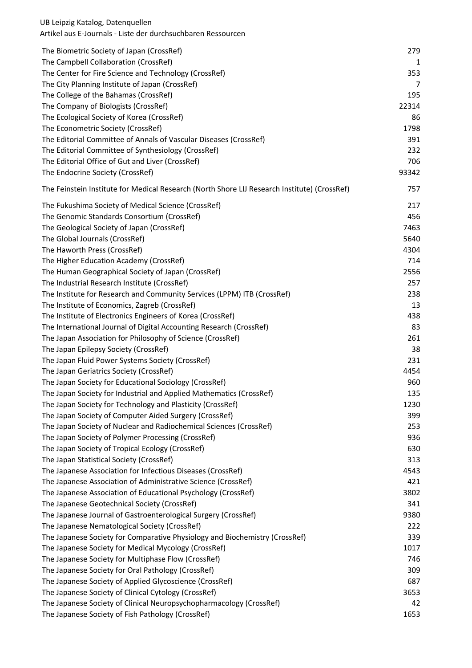|                                                                                              | 279   |
|----------------------------------------------------------------------------------------------|-------|
| The Biometric Society of Japan (CrossRef)<br>The Campbell Collaboration (CrossRef)           | 1     |
| The Center for Fire Science and Technology (CrossRef)                                        | 353   |
| The City Planning Institute of Japan (CrossRef)                                              | 7     |
| The College of the Bahamas (CrossRef)                                                        | 195   |
| The Company of Biologists (CrossRef)                                                         | 22314 |
| The Ecological Society of Korea (CrossRef)                                                   | 86    |
| The Econometric Society (CrossRef)                                                           | 1798  |
| The Editorial Committee of Annals of Vascular Diseases (CrossRef)                            | 391   |
| The Editorial Committee of Synthesiology (CrossRef)                                          | 232   |
| The Editorial Office of Gut and Liver (CrossRef)                                             | 706   |
| The Endocrine Society (CrossRef)                                                             | 93342 |
|                                                                                              |       |
| The Feinstein Institute for Medical Research (North Shore LIJ Research Institute) (CrossRef) | 757   |
| The Fukushima Society of Medical Science (CrossRef)                                          | 217   |
| The Genomic Standards Consortium (CrossRef)                                                  | 456   |
| The Geological Society of Japan (CrossRef)                                                   | 7463  |
| The Global Journals (CrossRef)                                                               | 5640  |
| The Haworth Press (CrossRef)                                                                 | 4304  |
| The Higher Education Academy (CrossRef)                                                      | 714   |
| The Human Geographical Society of Japan (CrossRef)                                           | 2556  |
| The Industrial Research Institute (CrossRef)                                                 | 257   |
| The Institute for Research and Community Services (LPPM) ITB (CrossRef)                      | 238   |
| The Institute of Economics, Zagreb (CrossRef)                                                | 13    |
| The Institute of Electronics Engineers of Korea (CrossRef)                                   | 438   |
| The International Journal of Digital Accounting Research (CrossRef)                          | 83    |
| The Japan Association for Philosophy of Science (CrossRef)                                   | 261   |
| The Japan Epilepsy Society (CrossRef)                                                        | 38    |
| The Japan Fluid Power Systems Society (CrossRef)                                             | 231   |
| The Japan Geriatrics Society (CrossRef)                                                      | 4454  |
| The Japan Society for Educational Sociology (CrossRef)                                       | 960   |
| The Japan Society for Industrial and Applied Mathematics (CrossRef)                          | 135   |
| The Japan Society for Technology and Plasticity (CrossRef)                                   | 1230  |
| The Japan Society of Computer Aided Surgery (CrossRef)                                       | 399   |
| The Japan Society of Nuclear and Radiochemical Sciences (CrossRef)                           | 253   |
| The Japan Society of Polymer Processing (CrossRef)                                           | 936   |
| The Japan Society of Tropical Ecology (CrossRef)                                             | 630   |
| The Japan Statistical Society (CrossRef)                                                     | 313   |
| The Japanese Association for Infectious Diseases (CrossRef)                                  | 4543  |
| The Japanese Association of Administrative Science (CrossRef)                                | 421   |
| The Japanese Association of Educational Psychology (CrossRef)                                | 3802  |
| The Japanese Geotechnical Society (CrossRef)                                                 | 341   |
| The Japanese Journal of Gastroenterological Surgery (CrossRef)                               | 9380  |
| The Japanese Nematological Society (CrossRef)                                                | 222   |
| The Japanese Society for Comparative Physiology and Biochemistry (CrossRef)                  | 339   |
| The Japanese Society for Medical Mycology (CrossRef)                                         | 1017  |
| The Japanese Society for Multiphase Flow (CrossRef)                                          | 746   |
| The Japanese Society for Oral Pathology (CrossRef)                                           | 309   |
| The Japanese Society of Applied Glycoscience (CrossRef)                                      | 687   |
| The Japanese Society of Clinical Cytology (CrossRef)                                         | 3653  |
| The Japanese Society of Clinical Neuropsychopharmacology (CrossRef)                          | 42    |
| The Japanese Society of Fish Pathology (CrossRef)                                            | 1653  |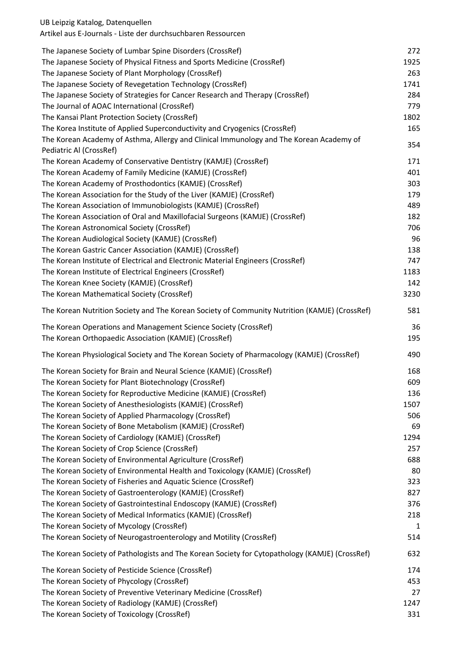Artikel aus E-Journals - Liste der durchsuchbaren Ressourcen

| The Japanese Society of Lumbar Spine Disorders (CrossRef)                                      | 272  |
|------------------------------------------------------------------------------------------------|------|
| The Japanese Society of Physical Fitness and Sports Medicine (CrossRef)                        | 1925 |
| The Japanese Society of Plant Morphology (CrossRef)                                            | 263  |
| The Japanese Society of Revegetation Technology (CrossRef)                                     | 1741 |
| The Japanese Society of Strategies for Cancer Research and Therapy (CrossRef)                  | 284  |
| The Journal of AOAC International (CrossRef)                                                   | 779  |
| The Kansai Plant Protection Society (CrossRef)                                                 | 1802 |
| The Korea Institute of Applied Superconductivity and Cryogenics (CrossRef)                     | 165  |
| The Korean Academy of Asthma, Allergy and Clinical Immunology and The Korean Academy of        |      |
| Pediatric Al (CrossRef)                                                                        | 354  |
| The Korean Academy of Conservative Dentistry (KAMJE) (CrossRef)                                | 171  |
| The Korean Academy of Family Medicine (KAMJE) (CrossRef)                                       | 401  |
| The Korean Academy of Prosthodontics (KAMJE) (CrossRef)                                        | 303  |
| The Korean Association for the Study of the Liver (KAMJE) (CrossRef)                           | 179  |
|                                                                                                |      |
| The Korean Association of Immunobiologists (KAMJE) (CrossRef)                                  | 489  |
| The Korean Association of Oral and Maxillofacial Surgeons (KAMJE) (CrossRef)                   | 182  |
| The Korean Astronomical Society (CrossRef)                                                     | 706  |
| The Korean Audiological Society (KAMJE) (CrossRef)                                             | 96   |
| The Korean Gastric Cancer Association (KAMJE) (CrossRef)                                       | 138  |
| The Korean Institute of Electrical and Electronic Material Engineers (CrossRef)                | 747  |
| The Korean Institute of Electrical Engineers (CrossRef)                                        | 1183 |
| The Korean Knee Society (KAMJE) (CrossRef)                                                     | 142  |
| The Korean Mathematical Society (CrossRef)                                                     | 3230 |
| The Korean Nutrition Society and The Korean Society of Community Nutrition (KAMJE) (CrossRef)  | 581  |
|                                                                                                |      |
| The Korean Operations and Management Science Society (CrossRef)                                | 36   |
| The Korean Orthopaedic Association (KAMJE) (CrossRef)                                          | 195  |
| The Korean Physiological Society and The Korean Society of Pharmacology (KAMJE) (CrossRef)     | 490  |
| The Korean Society for Brain and Neural Science (KAMJE) (CrossRef)                             | 168  |
| The Korean Society for Plant Biotechnology (CrossRef)                                          | 609  |
| The Korean Society for Reproductive Medicine (KAMJE) (CrossRef)                                | 136  |
| The Korean Society of Anesthesiologists (KAMJE) (CrossRef)                                     | 1507 |
| The Korean Society of Applied Pharmacology (CrossRef)                                          | 506  |
| The Korean Society of Bone Metabolism (KAMJE) (CrossRef)                                       | 69   |
| The Korean Society of Cardiology (KAMJE) (CrossRef)                                            | 1294 |
| The Korean Society of Crop Science (CrossRef)                                                  | 257  |
| The Korean Society of Environmental Agriculture (CrossRef)                                     | 688  |
|                                                                                                |      |
| The Korean Society of Environmental Health and Toxicology (KAMJE) (CrossRef)                   | 80   |
| The Korean Society of Fisheries and Aquatic Science (CrossRef)                                 | 323  |
| The Korean Society of Gastroenterology (KAMJE) (CrossRef)                                      | 827  |
| The Korean Society of Gastrointestinal Endoscopy (KAMJE) (CrossRef)                            | 376  |
| The Korean Society of Medical Informatics (KAMJE) (CrossRef)                                   | 218  |
| The Korean Society of Mycology (CrossRef)                                                      | 1    |
| The Korean Society of Neurogastroenterology and Motility (CrossRef)                            | 514  |
| The Korean Society of Pathologists and The Korean Society for Cytopathology (KAMJE) (CrossRef) | 632  |
| The Korean Society of Pesticide Science (CrossRef)                                             | 174  |
| The Korean Society of Phycology (CrossRef)                                                     | 453  |
| The Korean Society of Preventive Veterinary Medicine (CrossRef)                                | 27   |
| The Korean Society of Radiology (KAMJE) (CrossRef)                                             | 1247 |
| The Korean Society of Toxicology (CrossRef)                                                    | 331  |
|                                                                                                |      |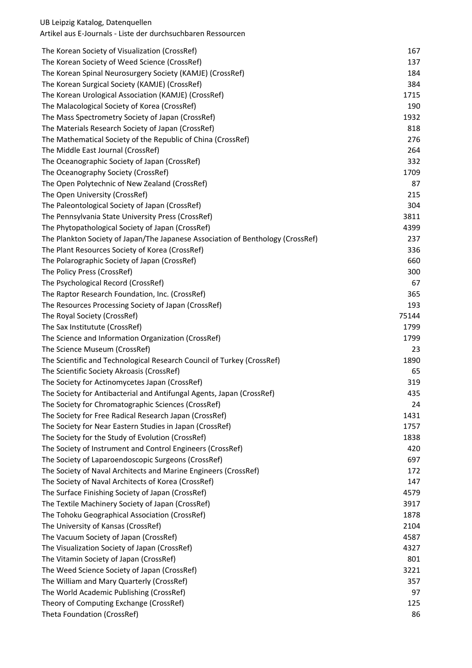| The Korean Society of Visualization (CrossRef)                                  | 167   |
|---------------------------------------------------------------------------------|-------|
| The Korean Society of Weed Science (CrossRef)                                   | 137   |
| The Korean Spinal Neurosurgery Society (KAMJE) (CrossRef)                       | 184   |
| The Korean Surgical Society (KAMJE) (CrossRef)                                  | 384   |
| The Korean Urological Association (KAMJE) (CrossRef)                            | 1715  |
| The Malacological Society of Korea (CrossRef)                                   | 190   |
| The Mass Spectrometry Society of Japan (CrossRef)                               | 1932  |
| The Materials Research Society of Japan (CrossRef)                              | 818   |
| The Mathematical Society of the Republic of China (CrossRef)                    | 276   |
| The Middle East Journal (CrossRef)                                              | 264   |
| The Oceanographic Society of Japan (CrossRef)                                   | 332   |
| The Oceanography Society (CrossRef)                                             | 1709  |
| The Open Polytechnic of New Zealand (CrossRef)                                  | 87    |
| The Open University (CrossRef)                                                  | 215   |
| The Paleontological Society of Japan (CrossRef)                                 | 304   |
| The Pennsylvania State University Press (CrossRef)                              | 3811  |
| The Phytopathological Society of Japan (CrossRef)                               | 4399  |
| The Plankton Society of Japan/The Japanese Association of Benthology (CrossRef) | 237   |
| The Plant Resources Society of Korea (CrossRef)                                 | 336   |
| The Polarographic Society of Japan (CrossRef)                                   | 660   |
| The Policy Press (CrossRef)                                                     | 300   |
| The Psychological Record (CrossRef)                                             | 67    |
| The Raptor Research Foundation, Inc. (CrossRef)                                 | 365   |
| The Resources Processing Society of Japan (CrossRef)                            | 193   |
| The Royal Society (CrossRef)                                                    | 75144 |
| The Sax Institutute (CrossRef)                                                  | 1799  |
| The Science and Information Organization (CrossRef)                             | 1799  |
| The Science Museum (CrossRef)                                                   | 23    |
| The Scientific and Technological Research Council of Turkey (CrossRef)          | 1890  |
| The Scientific Society Akroasis (CrossRef)                                      | 65    |
| The Society for Actinomycetes Japan (CrossRef)                                  | 319   |
| The Society for Antibacterial and Antifungal Agents, Japan (CrossRef)           | 435   |
| The Society for Chromatographic Sciences (CrossRef)                             | 24    |
| The Society for Free Radical Research Japan (CrossRef)                          | 1431  |
| The Society for Near Eastern Studies in Japan (CrossRef)                        | 1757  |
| The Society for the Study of Evolution (CrossRef)                               | 1838  |
| The Society of Instrument and Control Engineers (CrossRef)                      | 420   |
| The Society of Laparoendoscopic Surgeons (CrossRef)                             | 697   |
| The Society of Naval Architects and Marine Engineers (CrossRef)                 | 172   |
| The Society of Naval Architects of Korea (CrossRef)                             | 147   |
| The Surface Finishing Society of Japan (CrossRef)                               | 4579  |
| The Textile Machinery Society of Japan (CrossRef)                               | 3917  |
| The Tohoku Geographical Association (CrossRef)                                  | 1878  |
| The University of Kansas (CrossRef)                                             | 2104  |
| The Vacuum Society of Japan (CrossRef)                                          | 4587  |
| The Visualization Society of Japan (CrossRef)                                   | 4327  |
| The Vitamin Society of Japan (CrossRef)                                         | 801   |
| The Weed Science Society of Japan (CrossRef)                                    | 3221  |
| The William and Mary Quarterly (CrossRef)                                       | 357   |
| The World Academic Publishing (CrossRef)                                        | 97    |
| Theory of Computing Exchange (CrossRef)                                         | 125   |
| Theta Foundation (CrossRef)                                                     | 86    |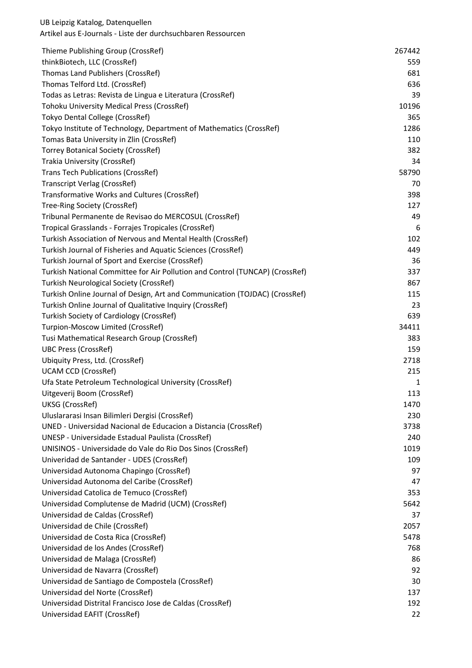| Thieme Publishing Group (CrossRef)                                           | 267442 |
|------------------------------------------------------------------------------|--------|
| thinkBiotech, LLC (CrossRef)                                                 | 559    |
| Thomas Land Publishers (CrossRef)                                            | 681    |
| Thomas Telford Ltd. (CrossRef)                                               | 636    |
| Todas as Letras: Revista de Lingua e Literatura (CrossRef)                   | 39     |
| Tohoku University Medical Press (CrossRef)                                   | 10196  |
| Tokyo Dental College (CrossRef)                                              | 365    |
| Tokyo Institute of Technology, Department of Mathematics (CrossRef)          | 1286   |
| Tomas Bata University in Zlin (CrossRef)                                     | 110    |
| <b>Torrey Botanical Society (CrossRef)</b>                                   | 382    |
| Trakia University (CrossRef)                                                 | 34     |
| <b>Trans Tech Publications (CrossRef)</b>                                    | 58790  |
| <b>Transcript Verlag (CrossRef)</b>                                          | 70     |
| Transformative Works and Cultures (CrossRef)                                 | 398    |
| Tree-Ring Society (CrossRef)                                                 | 127    |
| Tribunal Permanente de Revisao do MERCOSUL (CrossRef)                        | 49     |
| Tropical Grasslands - Forrajes Tropicales (CrossRef)                         | 6      |
| Turkish Association of Nervous and Mental Health (CrossRef)                  | 102    |
| Turkish Journal of Fisheries and Aquatic Sciences (CrossRef)                 | 449    |
| Turkish Journal of Sport and Exercise (CrossRef)                             | 36     |
| Turkish National Committee for Air Pollution and Control (TUNCAP) (CrossRef) | 337    |
| <b>Turkish Neurological Society (CrossRef)</b>                               | 867    |
| Turkish Online Journal of Design, Art and Communication (TOJDAC) (CrossRef)  | 115    |
| Turkish Online Journal of Qualitative Inquiry (CrossRef)                     | 23     |
| Turkish Society of Cardiology (CrossRef)                                     | 639    |
| Turpion-Moscow Limited (CrossRef)                                            | 34411  |
| Tusi Mathematical Research Group (CrossRef)                                  | 383    |
| <b>UBC Press (CrossRef)</b>                                                  | 159    |
| Ubiquity Press, Ltd. (CrossRef)                                              | 2718   |
| <b>UCAM CCD (CrossRef)</b>                                                   | 215    |
| Ufa State Petroleum Technological University (CrossRef)                      | 1      |
| Uitgeverij Boom (CrossRef)                                                   | 113    |
| UKSG (CrossRef)                                                              | 1470   |
| Uluslararasi Insan Bilimleri Dergisi (CrossRef)                              | 230    |
| UNED - Universidad Nacional de Educacion a Distancia (CrossRef)              | 3738   |
| UNESP - Universidade Estadual Paulista (CrossRef)                            | 240    |
| UNISINOS - Universidade do Vale do Rio Dos Sinos (CrossRef)                  | 1019   |
| Univeridad de Santander - UDES (CrossRef)                                    | 109    |
| Universidad Autonoma Chapingo (CrossRef)                                     | 97     |
| Universidad Autonoma del Caribe (CrossRef)                                   | 47     |
| Universidad Catolica de Temuco (CrossRef)                                    | 353    |
| Universidad Complutense de Madrid (UCM) (CrossRef)                           | 5642   |
| Universidad de Caldas (CrossRef)                                             | 37     |
| Universidad de Chile (CrossRef)                                              | 2057   |
| Universidad de Costa Rica (CrossRef)                                         | 5478   |
| Universidad de los Andes (CrossRef)                                          | 768    |
| Universidad de Malaga (CrossRef)                                             | 86     |
| Universidad de Navarra (CrossRef)                                            | 92     |
| Universidad de Santiago de Compostela (CrossRef)                             | 30     |
| Universidad del Norte (CrossRef)                                             | 137    |
| Universidad Distrital Francisco Jose de Caldas (CrossRef)                    | 192    |
| Universidad EAFIT (CrossRef)                                                 | 22     |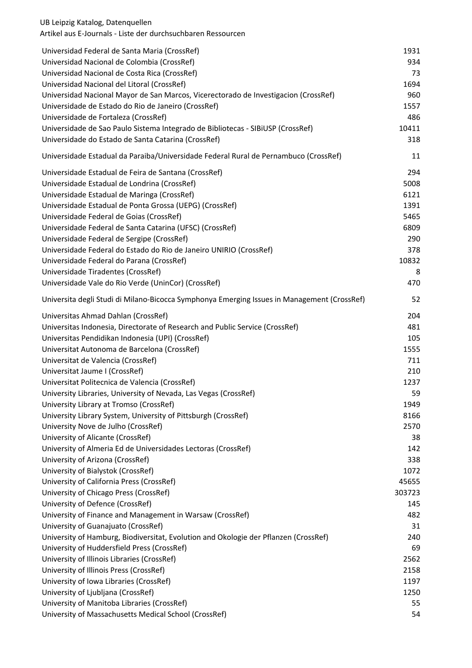| Universidad Federal de Santa Maria (CrossRef)                                               | 1931   |
|---------------------------------------------------------------------------------------------|--------|
| Universidad Nacional de Colombia (CrossRef)                                                 | 934    |
| Universidad Nacional de Costa Rica (CrossRef)                                               | 73     |
| Universidad Nacional del Litoral (CrossRef)                                                 | 1694   |
| Universidad Nacional Mayor de San Marcos, Vicerectorado de Investigacion (CrossRef)         | 960    |
| Universidade de Estado do Rio de Janeiro (CrossRef)                                         | 1557   |
| Universidade de Fortaleza (CrossRef)                                                        | 486    |
| Universidade de Sao Paulo Sistema Integrado de Bibliotecas - SIBIUSP (CrossRef)             | 10411  |
| Universidade do Estado de Santa Catarina (CrossRef)                                         | 318    |
| Universidade Estadual da Paraiba/Universidade Federal Rural de Pernambuco (CrossRef)        | 11     |
| Universidade Estadual de Feira de Santana (CrossRef)                                        | 294    |
| Universidade Estadual de Londrina (CrossRef)                                                | 5008   |
| Universidade Estadual de Maringa (CrossRef)                                                 | 6121   |
| Universidade Estadual de Ponta Grossa (UEPG) (CrossRef)                                     | 1391   |
| Universidade Federal de Goias (CrossRef)                                                    | 5465   |
| Universidade Federal de Santa Catarina (UFSC) (CrossRef)                                    | 6809   |
| Universidade Federal de Sergipe (CrossRef)                                                  | 290    |
| Universidade Federal do Estado do Rio de Janeiro UNIRIO (CrossRef)                          | 378    |
| Universidade Federal do Parana (CrossRef)                                                   | 10832  |
| Universidade Tiradentes (CrossRef)                                                          | 8      |
| Universidade Vale do Rio Verde (UninCor) (CrossRef)                                         | 470    |
| Universita degli Studi di Milano-Bicocca Symphonya Emerging Issues in Management (CrossRef) | 52     |
| Universitas Ahmad Dahlan (CrossRef)                                                         | 204    |
| Universitas Indonesia, Directorate of Research and Public Service (CrossRef)                | 481    |
| Universitas Pendidikan Indonesia (UPI) (CrossRef)                                           | 105    |
| Universitat Autonoma de Barcelona (CrossRef)                                                | 1555   |
| Universitat de Valencia (CrossRef)                                                          | 711    |
| Universitat Jaume I (CrossRef)                                                              | 210    |
| Universitat Politecnica de Valencia (CrossRef)                                              | 1237   |
| University Libraries, University of Nevada, Las Vegas (CrossRef)                            | 59     |
| University Library at Tromso (CrossRef)                                                     | 1949   |
| University Library System, University of Pittsburgh (CrossRef)                              | 8166   |
| University Nove de Julho (CrossRef)                                                         | 2570   |
| University of Alicante (CrossRef)                                                           | 38     |
| University of Almeria Ed de Universidades Lectoras (CrossRef)                               | 142    |
| University of Arizona (CrossRef)                                                            | 338    |
| University of Bialystok (CrossRef)                                                          | 1072   |
| University of California Press (CrossRef)                                                   | 45655  |
| University of Chicago Press (CrossRef)                                                      | 303723 |
| University of Defence (CrossRef)                                                            | 145    |
| University of Finance and Management in Warsaw (CrossRef)                                   | 482    |
| University of Guanajuato (CrossRef)                                                         | 31     |
| University of Hamburg, Biodiversitat, Evolution and Okologie der Pflanzen (CrossRef)        | 240    |
| University of Huddersfield Press (CrossRef)                                                 | 69     |
| University of Illinois Libraries (CrossRef)                                                 | 2562   |
| University of Illinois Press (CrossRef)                                                     | 2158   |
| University of Iowa Libraries (CrossRef)                                                     | 1197   |
| University of Ljubljana (CrossRef)                                                          | 1250   |
| University of Manitoba Libraries (CrossRef)                                                 | 55     |
| University of Massachusetts Medical School (CrossRef)                                       | 54     |
|                                                                                             |        |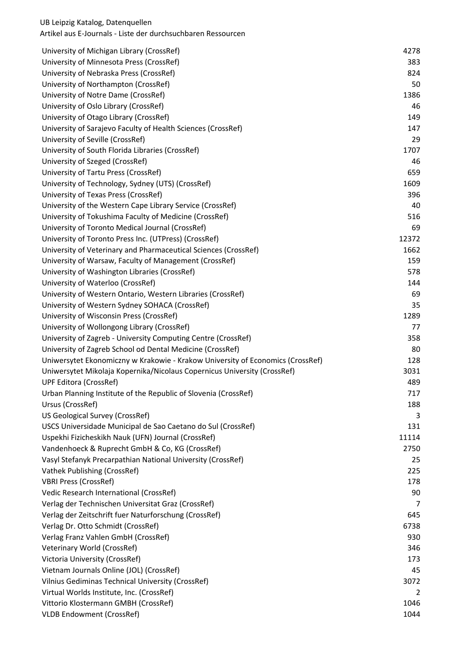| University of Michigan Library (CrossRef)                                      | 4278  |
|--------------------------------------------------------------------------------|-------|
| University of Minnesota Press (CrossRef)                                       | 383   |
| University of Nebraska Press (CrossRef)                                        | 824   |
| University of Northampton (CrossRef)                                           | 50    |
| University of Notre Dame (CrossRef)                                            | 1386  |
| University of Oslo Library (CrossRef)                                          | 46    |
| University of Otago Library (CrossRef)                                         | 149   |
| University of Sarajevo Faculty of Health Sciences (CrossRef)                   | 147   |
| University of Seville (CrossRef)                                               | 29    |
| University of South Florida Libraries (CrossRef)                               | 1707  |
| University of Szeged (CrossRef)                                                | 46    |
| University of Tartu Press (CrossRef)                                           | 659   |
| University of Technology, Sydney (UTS) (CrossRef)                              | 1609  |
| University of Texas Press (CrossRef)                                           | 396   |
| University of the Western Cape Library Service (CrossRef)                      | 40    |
| University of Tokushima Faculty of Medicine (CrossRef)                         | 516   |
| University of Toronto Medical Journal (CrossRef)                               | 69    |
| University of Toronto Press Inc. (UTPress) (CrossRef)                          | 12372 |
| University of Veterinary and Pharmaceutical Sciences (CrossRef)                | 1662  |
| University of Warsaw, Faculty of Management (CrossRef)                         | 159   |
| University of Washington Libraries (CrossRef)                                  | 578   |
| University of Waterloo (CrossRef)                                              | 144   |
| University of Western Ontario, Western Libraries (CrossRef)                    | 69    |
| University of Western Sydney SOHACA (CrossRef)                                 | 35    |
| University of Wisconsin Press (CrossRef)                                       | 1289  |
| University of Wollongong Library (CrossRef)                                    | 77    |
| University of Zagreb - University Computing Centre (CrossRef)                  | 358   |
| University of Zagreb School od Dental Medicine (CrossRef)                      | 80    |
| Uniwersytet Ekonomiczny w Krakowie - Krakow University of Economics (CrossRef) | 128   |
| Uniwersytet Mikolaja Kopernika/Nicolaus Copernicus University (CrossRef)       | 3031  |
| <b>UPF Editora (CrossRef)</b>                                                  | 489   |
| Urban Planning Institute of the Republic of Slovenia (CrossRef)                | 717   |
| Ursus (CrossRef)                                                               | 188   |
| US Geological Survey (CrossRef)                                                | 3     |
| USCS Universidade Municipal de Sao Caetano do Sul (CrossRef)                   | 131   |
| Uspekhi Fizicheskikh Nauk (UFN) Journal (CrossRef)                             | 11114 |
| Vandenhoeck & Ruprecht GmbH & Co, KG (CrossRef)                                | 2750  |
| Vasyl Stefanyk Precarpathian National University (CrossRef)                    | 25    |
| Vathek Publishing (CrossRef)                                                   | 225   |
| <b>VBRI Press (CrossRef)</b>                                                   | 178   |
| Vedic Research International (CrossRef)                                        | 90    |
| Verlag der Technischen Universitat Graz (CrossRef)                             | 7     |
| Verlag der Zeitschrift fuer Naturforschung (CrossRef)                          | 645   |
| Verlag Dr. Otto Schmidt (CrossRef)                                             | 6738  |
| Verlag Franz Vahlen GmbH (CrossRef)                                            | 930   |
| Veterinary World (CrossRef)                                                    | 346   |
| Victoria University (CrossRef)                                                 | 173   |
| Vietnam Journals Online (JOL) (CrossRef)                                       | 45    |
| Vilnius Gediminas Technical University (CrossRef)                              | 3072  |
| Virtual Worlds Institute, Inc. (CrossRef)                                      | 2     |
| Vittorio Klostermann GMBH (CrossRef)                                           | 1046  |
| <b>VLDB Endowment (CrossRef)</b>                                               | 1044  |
|                                                                                |       |